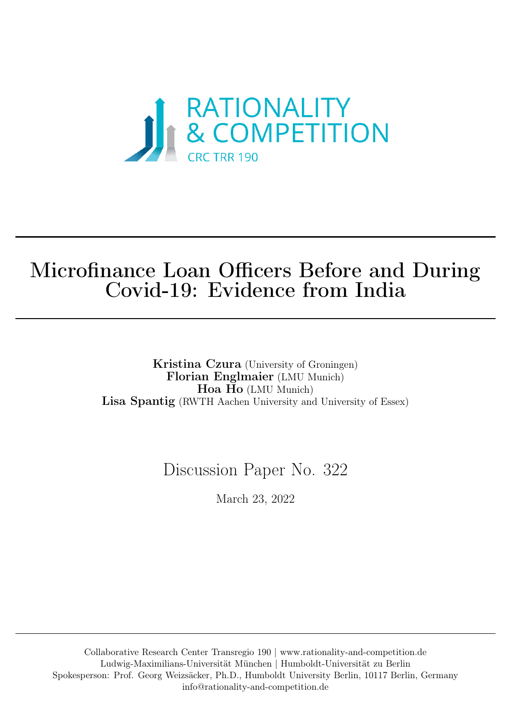

# Microfinance Loan Officers Before and During Covid-19: Evidence from India

Kristina Czura (University of Groningen) Florian Englmaier (LMU Munich) Hoa Ho (LMU Munich) Lisa Spantig (RWTH Aachen University and University of Essex)

## Discussion Paper No. 322

March 23, 2022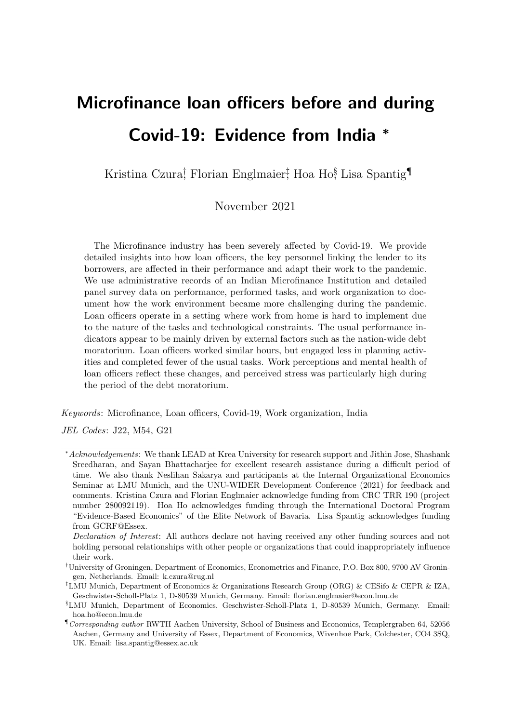# Microfinance loan officers before and during Covid-19: Evidence from India <sup>∗</sup>

Kristina Czura<sup>†</sup>, Florian Englmaier<sup>†</sup>, Hoa Ho<sup>§</sup>, Lisa Spantig<sup>¶</sup>

## November 2021

The Microfinance industry has been severely affected by Covid-19. We provide detailed insights into how loan officers, the key personnel linking the lender to its borrowers, are affected in their performance and adapt their work to the pandemic. We use administrative records of an Indian Microfinance Institution and detailed panel survey data on performance, performed tasks, and work organization to document how the work environment became more challenging during the pandemic. Loan officers operate in a setting where work from home is hard to implement due to the nature of the tasks and technological constraints. The usual performance indicators appear to be mainly driven by external factors such as the nation-wide debt moratorium. Loan officers worked similar hours, but engaged less in planning activities and completed fewer of the usual tasks. Work perceptions and mental health of loan officers reflect these changes, and perceived stress was particularly high during the period of the debt moratorium.

Keywords: Microfinance, Loan officers, Covid-19, Work organization, India

JEL Codes: J22, M54, G21

<sup>∗</sup>Acknowledgements: We thank LEAD at Krea University for research support and Jithin Jose, Shashank Sreedharan, and Sayan Bhattacharjee for excellent research assistance during a difficult period of time. We also thank Neslihan Sakarya and participants at the Internal Organizational Economics Seminar at LMU Munich, and the UNU-WIDER Development Conference (2021) for feedback and comments. Kristina Czura and Florian Englmaier acknowledge funding from CRC TRR 190 (project number 280092119). Hoa Ho acknowledges funding through the International Doctoral Program "Evidence-Based Economics" of the Elite Network of Bavaria. Lisa Spantig acknowledges funding from GCRF@Essex.

Declaration of Interest: All authors declare not having received any other funding sources and not holding personal relationships with other people or organizations that could inappropriately influence their work.

<sup>†</sup>University of Groningen, Department of Economics, Econometrics and Finance, P.O. Box 800, 9700 AV Groningen, Netherlands. Email: [k.czura@rug.nl](mailto: k.czura@rug.nl)

<sup>‡</sup>LMU Munich, Department of Economics & Organizations Research Group (ORG) & CESifo & CEPR & IZA, Geschwister-Scholl-Platz 1, D-80539 Munich, Germany. Email: [florian.englmaier@econ.lmu.de](mailto:florian.englmaier@econ.lmu.de)

<sup>§</sup>LMU Munich, Department of Economics, Geschwister-Scholl-Platz 1, D-80539 Munich, Germany. Email: [hoa.ho@econ.lmu.de](mailto:hoa.ho@econ.lmu.de)

<sup>¶</sup>Corresponding author RWTH Aachen University, School of Business and Economics, Templergraben 64, 52056 Aachen, Germany and University of Essex, Department of Economics, Wivenhoe Park, Colchester, CO4 3SQ, UK. Email: [lisa.spantig@essex.ac.uk](mailto:lisa.spantig@essex.ac.uk)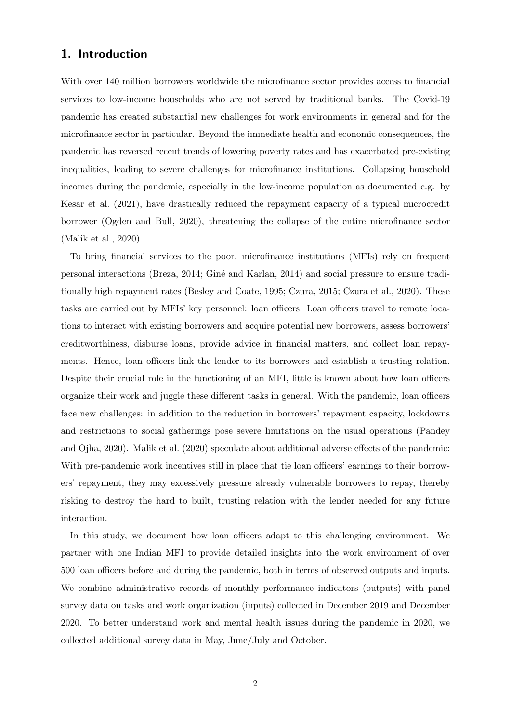## 1. Introduction

With over 140 million borrowers worldwide the microfinance sector provides access to financial services to low-income households who are not served by traditional banks. The Covid-19 pandemic has created substantial new challenges for work environments in general and for the microfinance sector in particular. Beyond the immediate health and economic consequences, the pandemic has reversed recent trends of lowering poverty rates and has exacerbated pre-existing inequalities, leading to severe challenges for microfinance institutions. Collapsing household incomes during the pandemic, especially in the low-income population as documented e.g. by [Kesar et al.](#page-31-0) [\(2021\)](#page-31-0), have drastically reduced the repayment capacity of a typical microcredit borrower [\(Ogden and Bull, 2020\)](#page-31-1), threatening the collapse of the entire microfinance sector [\(Malik et al., 2020\)](#page-31-2).

To bring financial services to the poor, microfinance institutions (MFIs) rely on frequent personal interactions [\(Breza, 2014;](#page-29-0) [Gin´e and Karlan, 2014\)](#page-30-0) and social pressure to ensure traditionally high repayment rates [\(Besley and Coate, 1995;](#page-29-1) [Czura, 2015;](#page-29-2) [Czura et al., 2020\)](#page-29-3). These tasks are carried out by MFIs' key personnel: loan officers. Loan officers travel to remote locations to interact with existing borrowers and acquire potential new borrowers, assess borrowers' creditworthiness, disburse loans, provide advice in financial matters, and collect loan repayments. Hence, loan officers link the lender to its borrowers and establish a trusting relation. Despite their crucial role in the functioning of an MFI, little is known about how loan officers organize their work and juggle these different tasks in general. With the pandemic, loan officers face new challenges: in addition to the reduction in borrowers' repayment capacity, lockdowns and restrictions to social gatherings pose severe limitations on the usual operations [\(Pandey](#page-31-3) [and Ojha, 2020\)](#page-31-3). [Malik et al.](#page-31-2) [\(2020\)](#page-31-2) speculate about additional adverse effects of the pandemic: With pre-pandemic work incentives still in place that tie loan officers' earnings to their borrowers' repayment, they may excessively pressure already vulnerable borrowers to repay, thereby risking to destroy the hard to built, trusting relation with the lender needed for any future interaction.

In this study, we document how loan officers adapt to this challenging environment. We partner with one Indian MFI to provide detailed insights into the work environment of over 500 loan officers before and during the pandemic, both in terms of observed outputs and inputs. We combine administrative records of monthly performance indicators (outputs) with panel survey data on tasks and work organization (inputs) collected in December 2019 and December 2020. To better understand work and mental health issues during the pandemic in 2020, we collected additional survey data in May, June/July and October.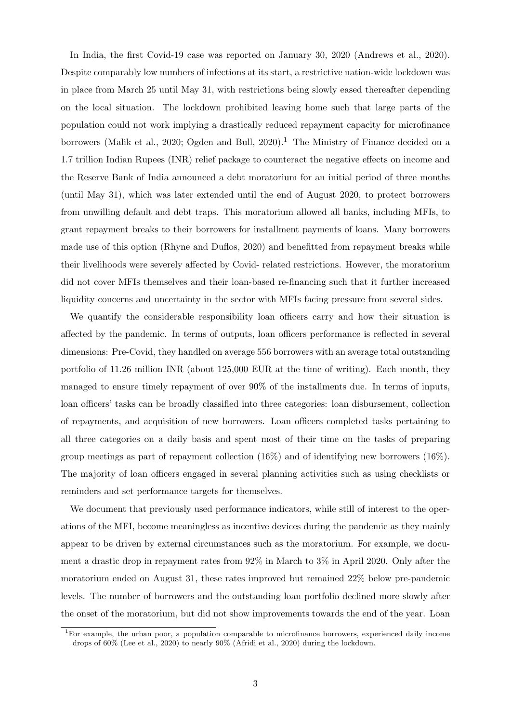In India, the first Covid-19 case was reported on January 30, 2020 [\(Andrews et al., 2020\)](#page-29-4). Despite comparably low numbers of infections at its start, a restrictive nation-wide lockdown was in place from March 25 until May 31, with restrictions being slowly eased thereafter depending on the local situation. The lockdown prohibited leaving home such that large parts of the population could not work implying a drastically reduced repayment capacity for microfinance borrowers [\(Malik et al., 2020;](#page-31-2) [Ogden and Bull, 2020\)](#page-31-1).<sup>[1](#page-3-0)</sup> The Ministry of Finance decided on a 1.7 trillion Indian Rupees (INR) relief package to counteract the negative effects on income and the Reserve Bank of India announced a debt moratorium for an initial period of three months (until May 31), which was later extended until the end of August 2020, to protect borrowers from unwilling default and debt traps. This moratorium allowed all banks, including MFIs, to grant repayment breaks to their borrowers for installment payments of loans. Many borrowers made use of this option [\(Rhyne and Duflos, 2020\)](#page-31-4) and benefitted from repayment breaks while their livelihoods were severely affected by Covid- related restrictions. However, the moratorium did not cover MFIs themselves and their loan-based re-financing such that it further increased liquidity concerns and uncertainty in the sector with MFIs facing pressure from several sides.

We quantify the considerable responsibility loan officers carry and how their situation is affected by the pandemic. In terms of outputs, loan officers performance is reflected in several dimensions: Pre-Covid, they handled on average 556 borrowers with an average total outstanding portfolio of 11.26 million INR (about 125,000 EUR at the time of writing). Each month, they managed to ensure timely repayment of over 90% of the installments due. In terms of inputs, loan officers' tasks can be broadly classified into three categories: loan disbursement, collection of repayments, and acquisition of new borrowers. Loan officers completed tasks pertaining to all three categories on a daily basis and spent most of their time on the tasks of preparing group meetings as part of repayment collection  $(16\%)$  and of identifying new borrowers  $(16\%)$ . The majority of loan officers engaged in several planning activities such as using checklists or reminders and set performance targets for themselves.

We document that previously used performance indicators, while still of interest to the operations of the MFI, become meaningless as incentive devices during the pandemic as they mainly appear to be driven by external circumstances such as the moratorium. For example, we document a drastic drop in repayment rates from 92% in March to 3% in April 2020. Only after the moratorium ended on August 31, these rates improved but remained 22% below pre-pandemic levels. The number of borrowers and the outstanding loan portfolio declined more slowly after the onset of the moratorium, but did not show improvements towards the end of the year. Loan

<span id="page-3-0"></span><sup>1</sup>For example, the urban poor, a population comparable to microfinance borrowers, experienced daily income drops of 60% [\(Lee et al., 2020\)](#page-31-5) to nearly 90% [\(Afridi et al., 2020\)](#page-28-0) during the lockdown.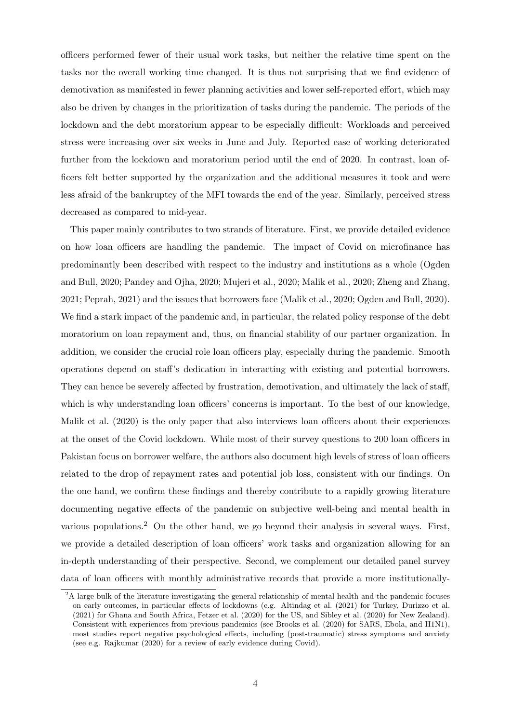officers performed fewer of their usual work tasks, but neither the relative time spent on the tasks nor the overall working time changed. It is thus not surprising that we find evidence of demotivation as manifested in fewer planning activities and lower self-reported effort, which may also be driven by changes in the prioritization of tasks during the pandemic. The periods of the lockdown and the debt moratorium appear to be especially difficult: Workloads and perceived stress were increasing over six weeks in June and July. Reported ease of working deteriorated further from the lockdown and moratorium period until the end of 2020. In contrast, loan officers felt better supported by the organization and the additional measures it took and were less afraid of the bankruptcy of the MFI towards the end of the year. Similarly, perceived stress decreased as compared to mid-year.

This paper mainly contributes to two strands of literature. First, we provide detailed evidence on how loan officers are handling the pandemic. The impact of Covid on microfinance has predominantly been described with respect to the industry and institutions as a whole [\(Ogden](#page-31-1) [and Bull, 2020;](#page-31-1) [Pandey and Ojha, 2020;](#page-31-3) [Mujeri et al., 2020;](#page-31-6) [Malik et al., 2020;](#page-31-2) [Zheng and Zhang,](#page-32-0) [2021;](#page-32-0) [Peprah, 2021\)](#page-31-7) and the issues that borrowers face [\(Malik et al., 2020;](#page-31-2) [Ogden and Bull, 2020\)](#page-31-1). We find a stark impact of the pandemic and, in particular, the related policy response of the debt moratorium on loan repayment and, thus, on financial stability of our partner organization. In addition, we consider the crucial role loan officers play, especially during the pandemic. Smooth operations depend on staff's dedication in interacting with existing and potential borrowers. They can hence be severely affected by frustration, demotivation, and ultimately the lack of staff, which is why understanding loan officers' concerns is important. To the best of our knowledge, [Malik et al.](#page-31-2) [\(2020\)](#page-31-2) is the only paper that also interviews loan officers about their experiences at the onset of the Covid lockdown. While most of their survey questions to 200 loan officers in Pakistan focus on borrower welfare, the authors also document high levels of stress of loan officers related to the drop of repayment rates and potential job loss, consistent with our findings. On the one hand, we confirm these findings and thereby contribute to a rapidly growing literature documenting negative effects of the pandemic on subjective well-being and mental health in various populations.<sup>[2](#page-4-0)</sup> On the other hand, we go beyond their analysis in several ways. First, we provide a detailed description of loan officers' work tasks and organization allowing for an in-depth understanding of their perspective. Second, we complement our detailed panel survey data of loan officers with monthly administrative records that provide a more institutionally-

<span id="page-4-0"></span><sup>&</sup>lt;sup>2</sup>A large bulk of the literature investigating the general relationship of mental health and the pandemic focuses on early outcomes, in particular effects of lockdowns (e.g. [Altindag et al.](#page-28-1) [\(2021\)](#page-28-1) for Turkey, [Durizzo et al.](#page-30-1) [\(2021\)](#page-30-1) for Ghana and South Africa, [Fetzer et al.](#page-30-2) [\(2020\)](#page-30-2) for the US, and [Sibley et al.](#page-32-1) [\(2020\)](#page-32-1) for New Zealand). Consistent with experiences from previous pandemics (see [Brooks et al.](#page-29-5) [\(2020\)](#page-29-5) for SARS, Ebola, and H1N1), most studies report negative psychological effects, including (post-traumatic) stress symptoms and anxiety (see e.g. [Rajkumar](#page-31-8) [\(2020\)](#page-31-8) for a review of early evidence during Covid).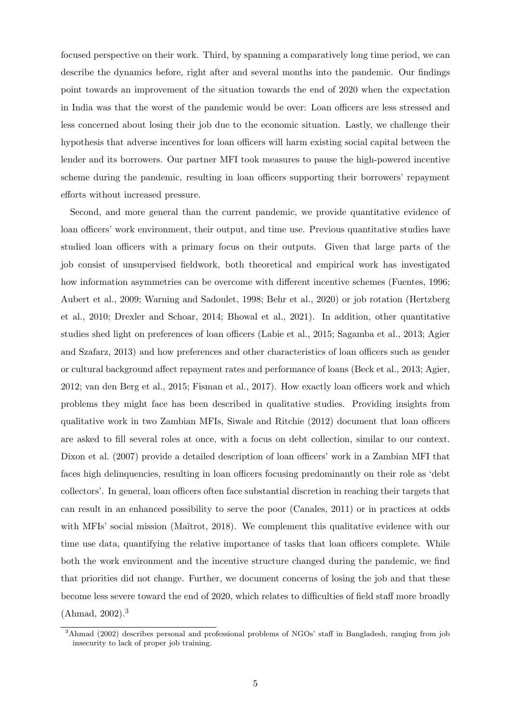focused perspective on their work. Third, by spanning a comparatively long time period, we can describe the dynamics before, right after and several months into the pandemic. Our findings point towards an improvement of the situation towards the end of 2020 when the expectation in India was that the worst of the pandemic would be over: Loan officers are less stressed and less concerned about losing their job due to the economic situation. Lastly, we challenge their hypothesis that adverse incentives for loan officers will harm existing social capital between the lender and its borrowers. Our partner MFI took measures to pause the high-powered incentive scheme during the pandemic, resulting in loan officers supporting their borrowers' repayment efforts without increased pressure.

Second, and more general than the current pandemic, we provide quantitative evidence of loan officers' work environment, their output, and time use. Previous quantitative studies have studied loan officers with a primary focus on their outputs. Given that large parts of the job consist of unsupervised fieldwork, both theoretical and empirical work has investigated how information asymmetries can be overcome with different incentive schemes [\(Fuentes, 1996;](#page-30-3) [Aubert et al., 2009;](#page-29-6) [Warning and Sadoulet, 1998;](#page-32-2) [Behr et al., 2020\)](#page-29-7) or job rotation [\(Hertzberg](#page-31-9) [et al., 2010;](#page-31-9) [Drexler and Schoar, 2014;](#page-30-4) [Bhowal et al., 2021\)](#page-29-8). In addition, other quantitative studies shed light on preferences of loan officers [\(Labie et al., 2015;](#page-31-10) [Sagamba et al., 2013;](#page-31-11) [Agier](#page-28-2) [and Szafarz, 2013\)](#page-28-2) and how preferences and other characteristics of loan officers such as gender or cultural background affect repayment rates and performance of loans [\(Beck et al., 2013;](#page-29-9) [Agier,](#page-28-3) [2012;](#page-28-3) [van den Berg et al., 2015;](#page-32-3) [Fisman et al., 2017\)](#page-30-5). How exactly loan officers work and which problems they might face has been described in qualitative studies. Providing insights from qualitative work in two Zambian MFIs, [Siwale and Ritchie](#page-32-4) [\(2012\)](#page-32-4) document that loan officers are asked to fill several roles at once, with a focus on debt collection, similar to our context. [Dixon et al.](#page-30-6) [\(2007\)](#page-30-6) provide a detailed description of loan officers' work in a Zambian MFI that faces high delinquencies, resulting in loan officers focusing predominantly on their role as 'debt collectors'. In general, loan officers often face substantial discretion in reaching their targets that can result in an enhanced possibility to serve the poor [\(Canales, 2011\)](#page-29-10) or in practices at odds with MFIs' social mission (Maîtrot, 2018). We complement this qualitative evidence with our time use data, quantifying the relative importance of tasks that loan officers complete. While both the work environment and the incentive structure changed during the pandemic, we find that priorities did not change. Further, we document concerns of losing the job and that these become less severe toward the end of 2020, which relates to difficulties of field staff more broadly  $(Ahmad, 2002).<sup>3</sup>$  $(Ahmad, 2002).<sup>3</sup>$  $(Ahmad, 2002).<sup>3</sup>$  $(Ahmad, 2002).<sup>3</sup>$ 

<span id="page-5-0"></span><sup>3</sup>[Ahmad](#page-28-4) [\(2002\)](#page-28-4) describes personal and professional problems of NGOs' staff in Bangladesh, ranging from job insecurity to lack of proper job training.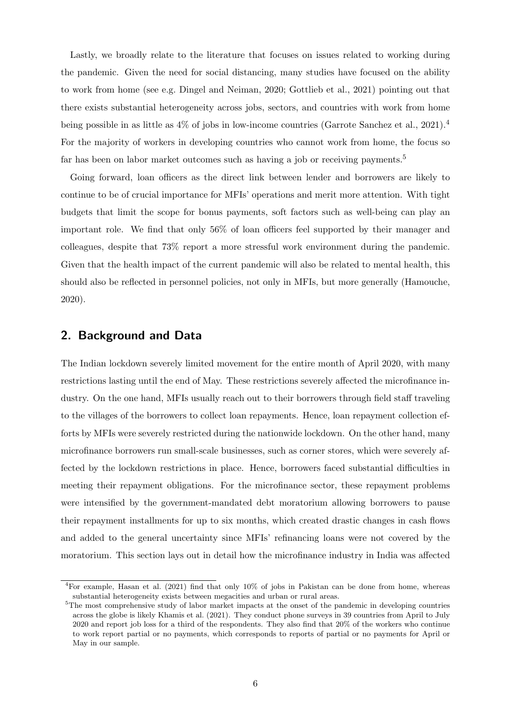Lastly, we broadly relate to the literature that focuses on issues related to working during the pandemic. Given the need for social distancing, many studies have focused on the ability to work from home (see e.g. [Dingel and Neiman, 2020;](#page-30-7) [Gottlieb et al., 2021\)](#page-30-8) pointing out that there exists substantial heterogeneity across jobs, sectors, and countries with work from home being possible in as little as  $4\%$  $4\%$  of jobs in low-income countries [\(Garrote Sanchez et al., 2021\)](#page-30-9).<sup>4</sup> For the majority of workers in developing countries who cannot work from home, the focus so far has been on labor market outcomes such as having a job or receiving payments.<sup>[5](#page-6-1)</sup>

Going forward, loan officers as the direct link between lender and borrowers are likely to continue to be of crucial importance for MFIs' operations and merit more attention. With tight budgets that limit the scope for bonus payments, soft factors such as well-being can play an important role. We find that only 56% of loan officers feel supported by their manager and colleagues, despite that 73% report a more stressful work environment during the pandemic. Given that the health impact of the current pandemic will also be related to mental health, this should also be reflected in personnel policies, not only in MFIs, but more generally [\(Hamouche,](#page-30-10) [2020\)](#page-30-10).

### 2. Background and Data

The Indian lockdown severely limited movement for the entire month of April 2020, with many restrictions lasting until the end of May. These restrictions severely affected the microfinance industry. On the one hand, MFIs usually reach out to their borrowers through field staff traveling to the villages of the borrowers to collect loan repayments. Hence, loan repayment collection efforts by MFIs were severely restricted during the nationwide lockdown. On the other hand, many microfinance borrowers run small-scale businesses, such as corner stores, which were severely affected by the lockdown restrictions in place. Hence, borrowers faced substantial difficulties in meeting their repayment obligations. For the microfinance sector, these repayment problems were intensified by the government-mandated debt moratorium allowing borrowers to pause their repayment installments for up to six months, which created drastic changes in cash flows and added to the general uncertainty since MFIs' refinancing loans were not covered by the moratorium. This section lays out in detail how the microfinance industry in India was affected

<span id="page-6-0"></span><sup>4</sup>For example, [Hasan et al.](#page-30-11) [\(2021\)](#page-30-11) find that only 10% of jobs in Pakistan can be done from home, whereas substantial heterogeneity exists between megacities and urban or rural areas.

<span id="page-6-1"></span><sup>&</sup>lt;sup>5</sup>The most comprehensive study of labor market impacts at the onset of the pandemic in developing countries across the globe is likely [Khamis et al.](#page-31-13) [\(2021\)](#page-31-13). They conduct phone surveys in 39 countries from April to July 2020 and report job loss for a third of the respondents. They also find that 20% of the workers who continue to work report partial or no payments, which corresponds to reports of partial or no payments for April or May in our sample.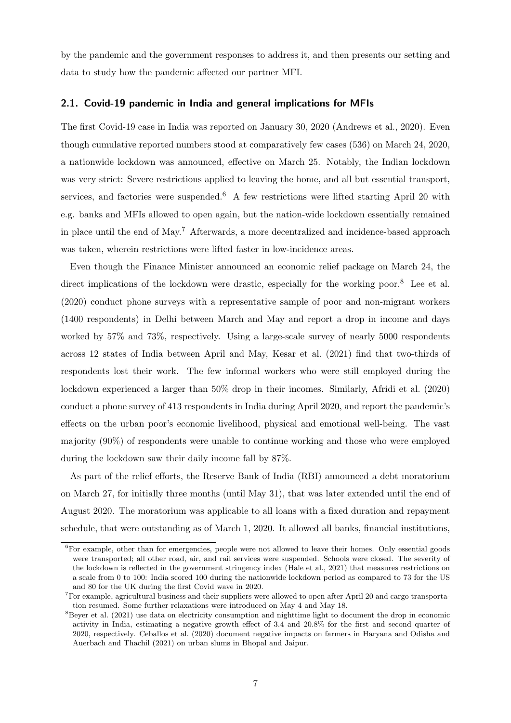by the pandemic and the government responses to address it, and then presents our setting and data to study how the pandemic affected our partner MFI.

#### 2.1. Covid-19 pandemic in India and general implications for MFIs

The first Covid-19 case in India was reported on January 30, 2020 [\(Andrews et al., 2020\)](#page-29-4). Even though cumulative reported numbers stood at comparatively few cases (536) on March 24, 2020, a nationwide lockdown was announced, effective on March 25. Notably, the Indian lockdown was very strict: Severe restrictions applied to leaving the home, and all but essential transport, services, and factories were suspended.<sup>[6](#page-7-0)</sup> A few restrictions were lifted starting April 20 with e.g. banks and MFIs allowed to open again, but the nation-wide lockdown essentially remained in place until the end of May.[7](#page-7-1) Afterwards, a more decentralized and incidence-based approach was taken, wherein restrictions were lifted faster in low-incidence areas.

Even though the Finance Minister announced an economic relief package on March 24, the direct implications of the lockdown were drastic, especially for the working poor.<sup>[8](#page-7-2)</sup> [Lee et al.](#page-31-5) [\(2020\)](#page-31-5) conduct phone surveys with a representative sample of poor and non-migrant workers (1400 respondents) in Delhi between March and May and report a drop in income and days worked by 57% and 73%, respectively. Using a large-scale survey of nearly 5000 respondents across 12 states of India between April and May, [Kesar et al.](#page-31-0) [\(2021\)](#page-31-0) find that two-thirds of respondents lost their work. The few informal workers who were still employed during the lockdown experienced a larger than 50% drop in their incomes. Similarly, [Afridi et al.](#page-28-0) [\(2020\)](#page-28-0) conduct a phone survey of 413 respondents in India during April 2020, and report the pandemic's effects on the urban poor's economic livelihood, physical and emotional well-being. The vast majority (90%) of respondents were unable to continue working and those who were employed during the lockdown saw their daily income fall by 87%.

As part of the relief efforts, the Reserve Bank of India (RBI) announced a debt moratorium on March 27, for initially three months (until May 31), that was later extended until the end of August 2020. The moratorium was applicable to all loans with a fixed duration and repayment schedule, that were outstanding as of March 1, 2020. It allowed all banks, financial institutions,

<span id="page-7-0"></span><sup>&</sup>lt;sup>6</sup>For example, other than for emergencies, people were not allowed to leave their homes. Only essential goods were transported; all other road, air, and rail services were suspended. Schools were closed. The severity of the lockdown is reflected in the government stringency index [\(Hale et al., 2021\)](#page-30-12) that measures restrictions on a scale from 0 to 100: India scored 100 during the nationwide lockdown period as compared to 73 for the US and 80 for the UK during the first Covid wave in 2020.

<span id="page-7-1"></span><sup>7</sup>For example, agricultural business and their suppliers were allowed to open after April 20 and cargo transportation resumed. Some further relaxations were introduced on May 4 and May 18.

<span id="page-7-2"></span><sup>8</sup>[Beyer et al.](#page-29-11) [\(2021\)](#page-29-11) use data on electricity consumption and nighttime light to document the drop in economic activity in India, estimating a negative growth effect of 3.4 and 20.8% for the first and second quarter of 2020, respectively. [Ceballos et al.](#page-29-12) [\(2020\)](#page-29-12) document negative impacts on farmers in Haryana and Odisha and [Auerbach and Thachil](#page-29-13) [\(2021\)](#page-29-13) on urban slums in Bhopal and Jaipur.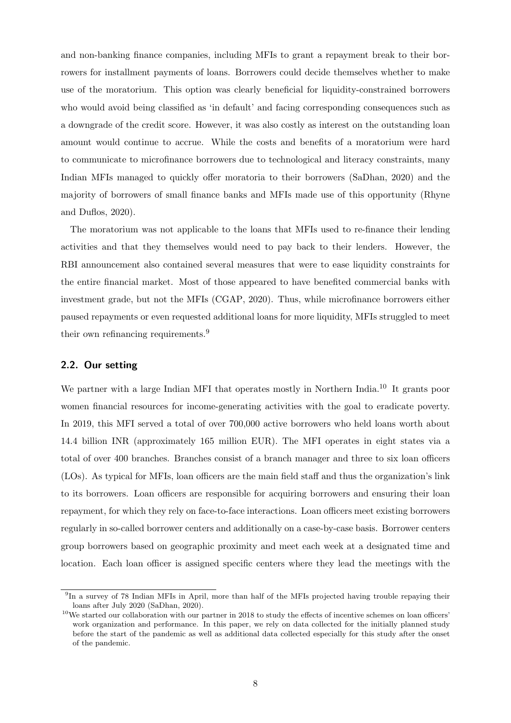and non-banking finance companies, including MFIs to grant a repayment break to their borrowers for installment payments of loans. Borrowers could decide themselves whether to make use of the moratorium. This option was clearly beneficial for liquidity-constrained borrowers who would avoid being classified as 'in default' and facing corresponding consequences such as a downgrade of the credit score. However, it was also costly as interest on the outstanding loan amount would continue to accrue. While the costs and benefits of a moratorium were hard to communicate to microfinance borrowers due to technological and literacy constraints, many Indian MFIs managed to quickly offer moratoria to their borrowers [\(SaDhan, 2020\)](#page-31-14) and the majority of borrowers of small finance banks and MFIs made use of this opportunity [\(Rhyne](#page-31-4) [and Duflos, 2020\)](#page-31-4).

The moratorium was not applicable to the loans that MFIs used to re-finance their lending activities and that they themselves would need to pay back to their lenders. However, the RBI announcement also contained several measures that were to ease liquidity constraints for the entire financial market. Most of those appeared to have benefited commercial banks with investment grade, but not the MFIs [\(CGAP, 2020\)](#page-29-14). Thus, while microfinance borrowers either paused repayments or even requested additional loans for more liquidity, MFIs struggled to meet their own refinancing requirements.<sup>[9](#page-8-0)</sup>

### 2.2. Our setting

We partner with a large Indian MFI that operates mostly in Northern India.<sup>[10](#page-8-1)</sup> It grants poor women financial resources for income-generating activities with the goal to eradicate poverty. In 2019, this MFI served a total of over 700,000 active borrowers who held loans worth about 14.4 billion INR (approximately 165 million EUR). The MFI operates in eight states via a total of over 400 branches. Branches consist of a branch manager and three to six loan officers (LOs). As typical for MFIs, loan officers are the main field staff and thus the organization's link to its borrowers. Loan officers are responsible for acquiring borrowers and ensuring their loan repayment, for which they rely on face-to-face interactions. Loan officers meet existing borrowers regularly in so-called borrower centers and additionally on a case-by-case basis. Borrower centers group borrowers based on geographic proximity and meet each week at a designated time and location. Each loan officer is assigned specific centers where they lead the meetings with the

<span id="page-8-0"></span><sup>&</sup>lt;sup>9</sup>In a survey of 78 Indian MFIs in April, more than half of the MFIs projected having trouble repaying their loans after July 2020 [\(SaDhan, 2020\)](#page-31-14).

<span id="page-8-1"></span> $10$ We started our collaboration with our partner in 2018 to study the effects of incentive schemes on loan officers' work organization and performance. In this paper, we rely on data collected for the initially planned study before the start of the pandemic as well as additional data collected especially for this study after the onset of the pandemic.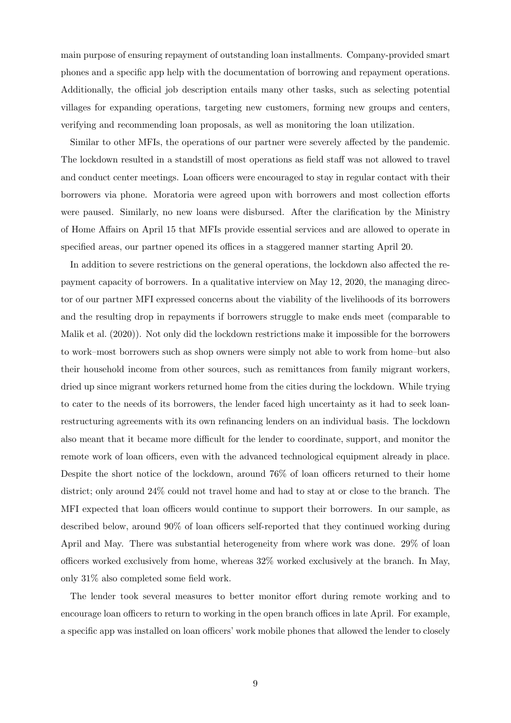main purpose of ensuring repayment of outstanding loan installments. Company-provided smart phones and a specific app help with the documentation of borrowing and repayment operations. Additionally, the official job description entails many other tasks, such as selecting potential villages for expanding operations, targeting new customers, forming new groups and centers, verifying and recommending loan proposals, as well as monitoring the loan utilization.

Similar to other MFIs, the operations of our partner were severely affected by the pandemic. The lockdown resulted in a standstill of most operations as field staff was not allowed to travel and conduct center meetings. Loan officers were encouraged to stay in regular contact with their borrowers via phone. Moratoria were agreed upon with borrowers and most collection efforts were paused. Similarly, no new loans were disbursed. After the clarification by the Ministry of Home Affairs on April 15 that MFIs provide essential services and are allowed to operate in specified areas, our partner opened its offices in a staggered manner starting April 20.

In addition to severe restrictions on the general operations, the lockdown also affected the repayment capacity of borrowers. In a qualitative interview on May 12, 2020, the managing director of our partner MFI expressed concerns about the viability of the livelihoods of its borrowers and the resulting drop in repayments if borrowers struggle to make ends meet (comparable to [Malik et al.](#page-31-2) [\(2020\)](#page-31-2)). Not only did the lockdown restrictions make it impossible for the borrowers to work–most borrowers such as shop owners were simply not able to work from home–but also their household income from other sources, such as remittances from family migrant workers, dried up since migrant workers returned home from the cities during the lockdown. While trying to cater to the needs of its borrowers, the lender faced high uncertainty as it had to seek loanrestructuring agreements with its own refinancing lenders on an individual basis. The lockdown also meant that it became more difficult for the lender to coordinate, support, and monitor the remote work of loan officers, even with the advanced technological equipment already in place. Despite the short notice of the lockdown, around 76% of loan officers returned to their home district; only around 24% could not travel home and had to stay at or close to the branch. The MFI expected that loan officers would continue to support their borrowers. In our sample, as described below, around 90% of loan officers self-reported that they continued working during April and May. There was substantial heterogeneity from where work was done. 29% of loan officers worked exclusively from home, whereas 32% worked exclusively at the branch. In May, only 31% also completed some field work.

The lender took several measures to better monitor effort during remote working and to encourage loan officers to return to working in the open branch offices in late April. For example, a specific app was installed on loan officers' work mobile phones that allowed the lender to closely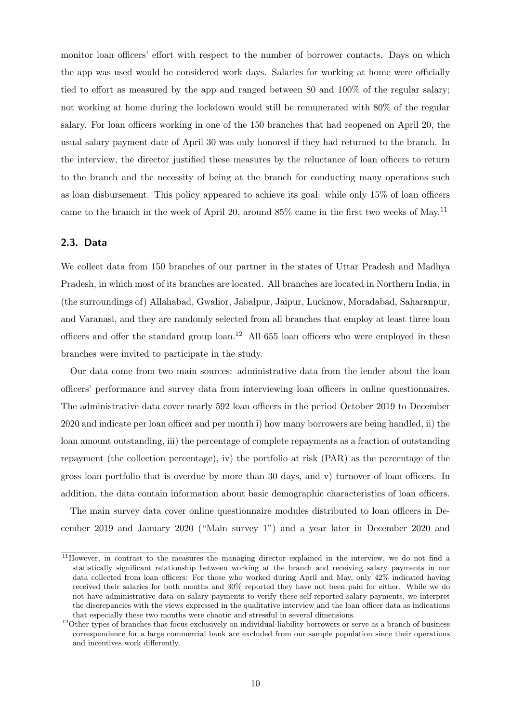monitor loan officers' effort with respect to the number of borrower contacts. Days on which the app was used would be considered work days. Salaries for working at home were officially tied to effort as measured by the app and ranged between 80 and 100% of the regular salary; not working at home during the lockdown would still be remunerated with 80% of the regular salary. For loan officers working in one of the 150 branches that had reopened on April 20, the usual salary payment date of April 30 was only honored if they had returned to the branch. In the interview, the director justified these measures by the reluctance of loan officers to return to the branch and the necessity of being at the branch for conducting many operations such as loan disbursement. This policy appeared to achieve its goal: while only 15% of loan officers came to the branch in the week of April 20, around  $85\%$  came in the first two weeks of May.<sup>[11](#page-10-0)</sup>

#### 2.3. Data

We collect data from 150 branches of our partner in the states of Uttar Pradesh and Madhya Pradesh, in which most of its branches are located. All branches are located in Northern India, in (the surroundings of) Allahabad, Gwalior, Jabalpur, Jaipur, Lucknow, Moradabad, Saharanpur, and Varanasi, and they are randomly selected from all branches that employ at least three loan officers and offer the standard group  $\alpha$ .<sup>[12](#page-10-1)</sup> All 655 loan officers who were employed in these branches were invited to participate in the study.

Our data come from two main sources: administrative data from the lender about the loan officers' performance and survey data from interviewing loan officers in online questionnaires. The administrative data cover nearly 592 loan officers in the period October 2019 to December 2020 and indicate per loan officer and per month i) how many borrowers are being handled, ii) the loan amount outstanding, iii) the percentage of complete repayments as a fraction of outstanding repayment (the collection percentage), iv) the portfolio at risk (PAR) as the percentage of the gross loan portfolio that is overdue by more than 30 days, and v) turnover of loan officers. In addition, the data contain information about basic demographic characteristics of loan officers.

The main survey data cover online questionnaire modules distributed to loan officers in December 2019 and January 2020 ("Main survey 1") and a year later in December 2020 and

<span id="page-10-0"></span><sup>&</sup>lt;sup>11</sup>However, in contrast to the measures the managing director explained in the interview, we do not find a statistically significant relationship between working at the branch and receiving salary payments in our data collected from loan officers: For those who worked during April and May, only 42% indicated having received their salaries for both months and 30% reported they have not been paid for either. While we do not have administrative data on salary payments to verify these self-reported salary payments, we interpret the discrepancies with the views expressed in the qualitative interview and the loan officer data as indications that especially these two months were chaotic and stressful in several dimensions.

<span id="page-10-1"></span> $12$ Other types of branches that focus exclusively on individual-liability borrowers or serve as a branch of business correspondence for a large commercial bank are excluded from our sample population since their operations and incentives work differently.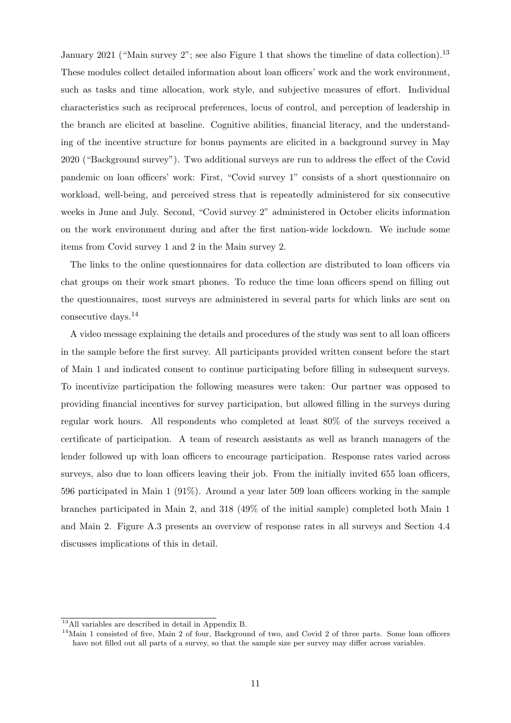January 2021 ("Main survey 2"; see also Figure [1](#page-12-0) that shows the timeline of data collection).<sup>[13](#page-11-0)</sup> These modules collect detailed information about loan officers' work and the work environment, such as tasks and time allocation, work style, and subjective measures of effort. Individual characteristics such as reciprocal preferences, locus of control, and perception of leadership in the branch are elicited at baseline. Cognitive abilities, financial literacy, and the understanding of the incentive structure for bonus payments are elicited in a background survey in May 2020 ("Background survey"). Two additional surveys are run to address the effect of the Covid pandemic on loan officers' work: First, "Covid survey 1" consists of a short questionnaire on workload, well-being, and perceived stress that is repeatedly administered for six consecutive weeks in June and July. Second, "Covid survey 2" administered in October elicits information on the work environment during and after the first nation-wide lockdown. We include some items from Covid survey 1 and 2 in the Main survey 2.

The links to the online questionnaires for data collection are distributed to loan officers via chat groups on their work smart phones. To reduce the time loan officers spend on filling out the questionnaires, most surveys are administered in several parts for which links are sent on consecutive days.[14](#page-11-1)

A video message explaining the details and procedures of the study was sent to all loan officers in the sample before the first survey. All participants provided written consent before the start of Main 1 and indicated consent to continue participating before filling in subsequent surveys. To incentivize participation the following measures were taken: Our partner was opposed to providing financial incentives for survey participation, but allowed filling in the surveys during regular work hours. All respondents who completed at least 80% of the surveys received a certificate of participation. A team of research assistants as well as branch managers of the lender followed up with loan officers to encourage participation. Response rates varied across surveys, also due to loan officers leaving their job. From the initially invited 655 loan officers, 596 participated in Main 1 (91%). Around a year later 509 loan officers working in the sample branches participated in Main 2, and 318 (49% of the initial sample) completed both Main 1 and Main 2. Figure [A.3](#page-41-0) presents an overview of response rates in all surveys and Section [4.4](#page-25-0) discusses implications of this in detail.

<span id="page-11-0"></span><sup>13</sup>All variables are described in detail in Appendix [B.](#page-42-0)

<span id="page-11-1"></span> $14$ Main 1 consisted of five, Main 2 of four, Background of two, and Covid 2 of three parts. Some loan officers have not filled out all parts of a survey, so that the sample size per survey may differ across variables.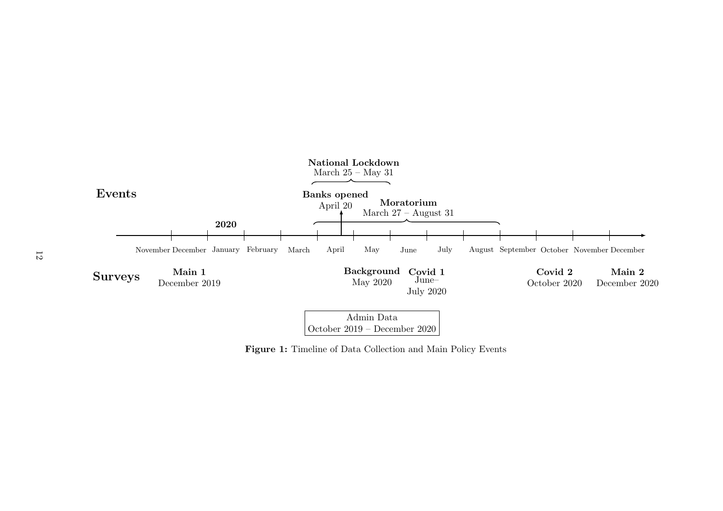<span id="page-12-0"></span>

Figure 1: Timeline of Data Collection and Main Policy Events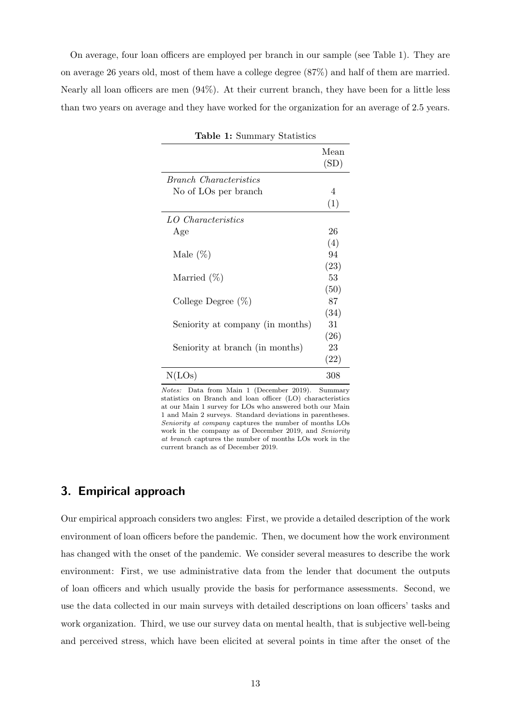<span id="page-13-0"></span>On average, four loan officers are employed per branch in our sample (see Table [1\)](#page-13-0). They are on average 26 years old, most of them have a college degree (87%) and half of them are married. Nearly all loan officers are men (94%). At their current branch, they have been for a little less than two years on average and they have worked for the organization for an average of 2.5 years.

| <b>Lable 1: Summary Statistics</b> |      |
|------------------------------------|------|
|                                    | Mean |
|                                    | (SD) |
|                                    |      |
| Branch Characteristics             |      |
| No of LOs per branch               | 4    |
|                                    | (1)  |
| LO Characteristics                 |      |
| Age                                | 26   |
|                                    | (4)  |
| Male $(\%)$                        | 94   |
|                                    | (23) |
| Married $(\%)$                     | 53   |
|                                    | (50) |
| College Degree $(\%)$              | 87   |
|                                    | (34) |
| Seniority at company (in months)   | 31   |
|                                    | (26) |
| Seniority at branch (in months)    | 23   |
|                                    | (22) |
| N(LOs)                             | 308  |

 $T_1$   $T_2$   $T_3$   $T_4$   $T_5$   $T_6$   $T_7$   $T_8$   $T_9$   $T_9$   $T_9$   $T_9$   $T_9$   $T_9$   $T_9$   $T_9$   $T_9$   $T_9$   $T_9$   $T_9$   $T_9$   $T_9$   $T_9$   $T_9$   $T_9$   $T_9$   $T_9$   $T_9$   $T_9$   $T_9$   $T_9$   $T_9$   $T_9$   $T_9$   $T_9$   $T_9$   $T_9$ 

Notes: Data from Main 1 (December 2019). Summary statistics on Branch and loan officer (LO) characteristics at our Main 1 survey for LOs who answered both our Main 1 and Main 2 surveys. Standard deviations in parentheses. Seniority at company captures the number of months LOs work in the company as of December 2019, and Seniority at branch captures the number of months LOs work in the current branch as of December 2019.

## 3. Empirical approach

Our empirical approach considers two angles: First, we provide a detailed description of the work environment of loan officers before the pandemic. Then, we document how the work environment has changed with the onset of the pandemic. We consider several measures to describe the work environment: First, we use administrative data from the lender that document the outputs of loan officers and which usually provide the basis for performance assessments. Second, we use the data collected in our main surveys with detailed descriptions on loan officers' tasks and work organization. Third, we use our survey data on mental health, that is subjective well-being and perceived stress, which have been elicited at several points in time after the onset of the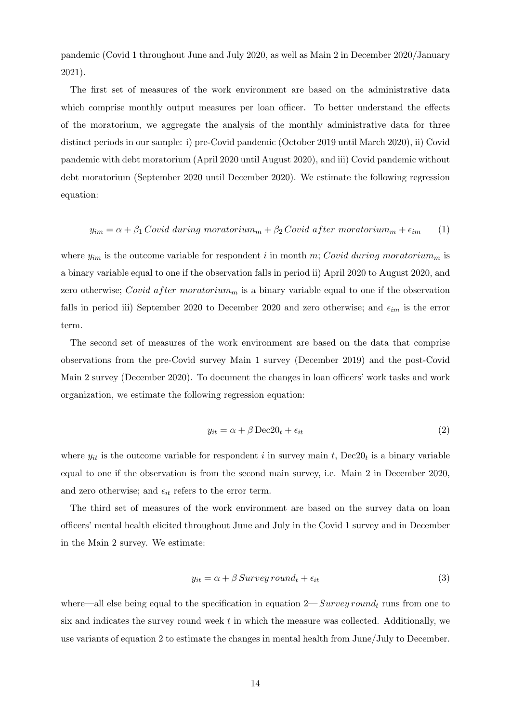pandemic (Covid 1 throughout June and July 2020, as well as Main 2 in December 2020/January 2021).

The first set of measures of the work environment are based on the administrative data which comprise monthly output measures per loan officer. To better understand the effects of the moratorium, we aggregate the analysis of the monthly administrative data for three distinct periods in our sample: i) pre-Covid pandemic (October 2019 until March 2020), ii) Covid pandemic with debt moratorium (April 2020 until August 2020), and iii) Covid pandemic without debt moratorium (September 2020 until December 2020). We estimate the following regression equation:

<span id="page-14-1"></span>
$$
y_{im} = \alpha + \beta_1 \text{Covid during moratorium}_m + \beta_2 \text{Covid after moratorium}_m + \epsilon_{im} \tag{1}
$$

where  $y_{im}$  is the outcome variable for respondent i in month m; Covid during moratorium<sub>m</sub> is a binary variable equal to one if the observation falls in period ii) April 2020 to August 2020, and zero otherwise; Covid after moratorium<sub>m</sub> is a binary variable equal to one if the observation falls in period iii) September 2020 to December 2020 and zero otherwise; and  $\epsilon_{im}$  is the error term.

The second set of measures of the work environment are based on the data that comprise observations from the pre-Covid survey Main 1 survey (December 2019) and the post-Covid Main 2 survey (December 2020). To document the changes in loan officers' work tasks and work organization, we estimate the following regression equation:

<span id="page-14-0"></span>
$$
y_{it} = \alpha + \beta \operatorname{Dec20}_{t} + \epsilon_{it} \tag{2}
$$

where  $y_{it}$  is the outcome variable for respondent i in survey main t,  $Dec20_t$  is a binary variable equal to one if the observation is from the second main survey, i.e. Main 2 in December 2020, and zero otherwise; and  $\epsilon_{it}$  refers to the error term.

The third set of measures of the work environment are based on the survey data on loan officers' mental health elicited throughout June and July in the Covid 1 survey and in December in the Main 2 survey. We estimate:

$$
y_{it} = \alpha + \beta \, Survey\, round_t + \epsilon_{it} \tag{3}
$$

where—all else being equal to the specification in equation  $2-Survey$  round<sub>t</sub> runs from one to six and indicates the survey round week  $t$  in which the measure was collected. Additionally, we use variants of equation [2](#page-14-0) to estimate the changes in mental health from June/July to December.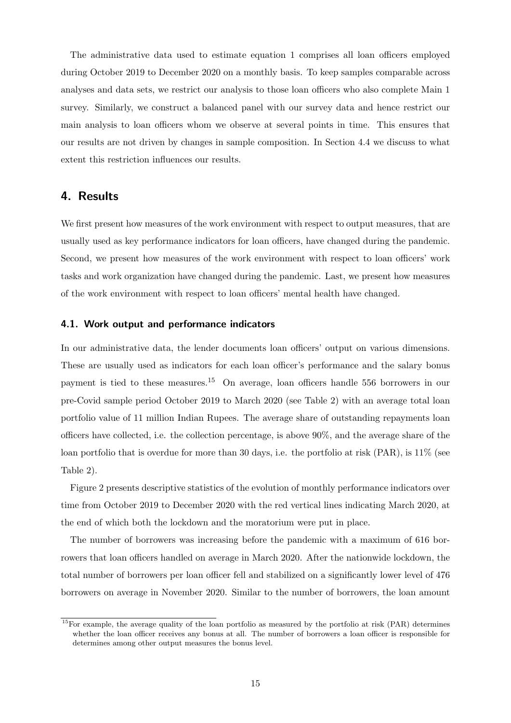The administrative data used to estimate equation [1](#page-14-1) comprises all loan officers employed during October 2019 to December 2020 on a monthly basis. To keep samples comparable across analyses and data sets, we restrict our analysis to those loan officers who also complete Main 1 survey. Similarly, we construct a balanced panel with our survey data and hence restrict our main analysis to loan officers whom we observe at several points in time. This ensures that our results are not driven by changes in sample composition. In Section [4.4](#page-25-0) we discuss to what extent this restriction influences our results.

## 4. Results

We first present how measures of the work environment with respect to output measures, that are usually used as key performance indicators for loan officers, have changed during the pandemic. Second, we present how measures of the work environment with respect to loan officers' work tasks and work organization have changed during the pandemic. Last, we present how measures of the work environment with respect to loan officers' mental health have changed.

#### 4.1. Work output and performance indicators

In our administrative data, the lender documents loan officers' output on various dimensions. These are usually used as indicators for each loan officer's performance and the salary bonus payment is tied to these measures.[15](#page-15-0) On average, loan officers handle 556 borrowers in our pre-Covid sample period October 2019 to March 2020 (see Table [2\)](#page-18-0) with an average total loan portfolio value of 11 million Indian Rupees. The average share of outstanding repayments loan officers have collected, i.e. the collection percentage, is above 90%, and the average share of the loan portfolio that is overdue for more than 30 days, i.e. the portfolio at risk (PAR), is 11% (see Table [2\)](#page-18-0).

Figure [2](#page-16-0) presents descriptive statistics of the evolution of monthly performance indicators over time from October 2019 to December 2020 with the red vertical lines indicating March 2020, at the end of which both the lockdown and the moratorium were put in place.

The number of borrowers was increasing before the pandemic with a maximum of 616 borrowers that loan officers handled on average in March 2020. After the nationwide lockdown, the total number of borrowers per loan officer fell and stabilized on a significantly lower level of 476 borrowers on average in November 2020. Similar to the number of borrowers, the loan amount

<span id="page-15-0"></span><sup>&</sup>lt;sup>15</sup>For example, the average quality of the loan portfolio as measured by the portfolio at risk (PAR) determines whether the loan officer receives any bonus at all. The number of borrowers a loan officer is responsible for determines among other output measures the bonus level.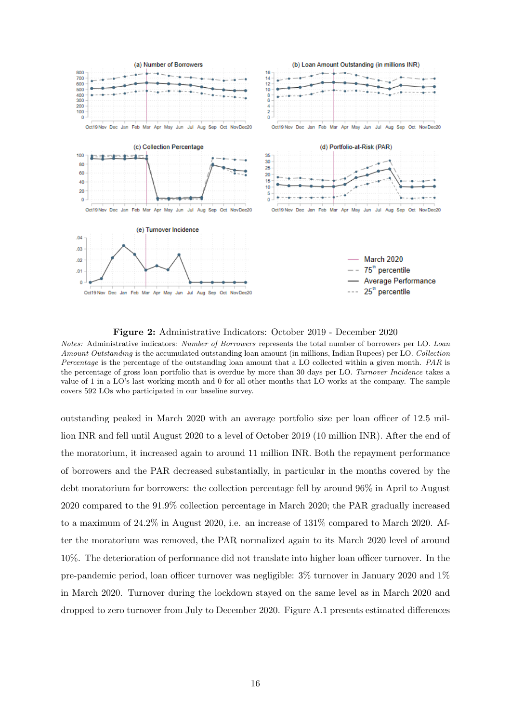<span id="page-16-0"></span>

Figure 2: Administrative Indicators: October 2019 - December 2020

Notes: Administrative indicators: Number of Borrowers represents the total number of borrowers per LO. Loan Amount Outstanding is the accumulated outstanding loan amount (in millions, Indian Rupees) per LO. Collection Percentage is the percentage of the outstanding loan amount that a LO collected within a given month. PAR is the percentage of gross loan portfolio that is overdue by more than 30 days per LO. Turnover Incidence takes a value of 1 in a LO's last working month and 0 for all other months that LO works at the company. The sample covers 592 LOs who participated in our baseline survey.

outstanding peaked in March 2020 with an average portfolio size per loan officer of 12.5 million INR and fell until August 2020 to a level of October 2019 (10 million INR). After the end of the moratorium, it increased again to around 11 million INR. Both the repayment performance of borrowers and the PAR decreased substantially, in particular in the months covered by the debt moratorium for borrowers: the collection percentage fell by around 96% in April to August 2020 compared to the 91.9% collection percentage in March 2020; the PAR gradually increased to a maximum of 24.2% in August 2020, i.e. an increase of 131% compared to March 2020. After the moratorium was removed, the PAR normalized again to its March 2020 level of around 10%. The deterioration of performance did not translate into higher loan officer turnover. In the pre-pandemic period, loan officer turnover was negligible: 3% turnover in January 2020 and 1% in March 2020. Turnover during the lockdown stayed on the same level as in March 2020 and dropped to zero turnover from July to December 2020. Figure [A.1](#page-40-0) presents estimated differences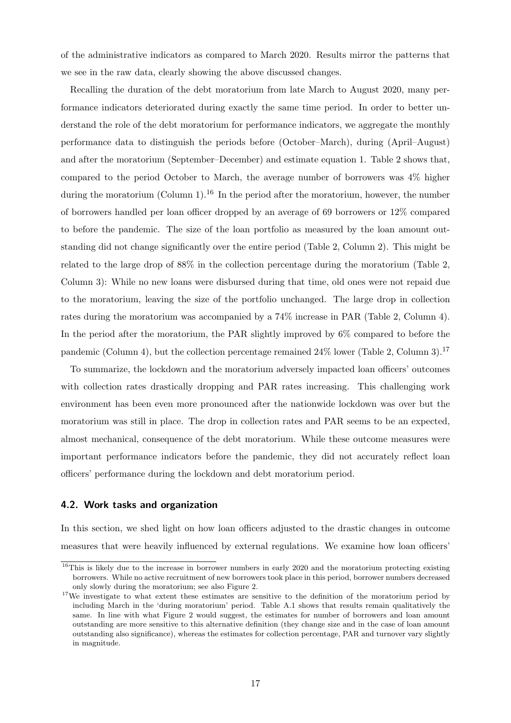of the administrative indicators as compared to March 2020. Results mirror the patterns that we see in the raw data, clearly showing the above discussed changes.

Recalling the duration of the debt moratorium from late March to August 2020, many performance indicators deteriorated during exactly the same time period. In order to better understand the role of the debt moratorium for performance indicators, we aggregate the monthly performance data to distinguish the periods before (October–March), during (April–August) and after the moratorium (September–December) and estimate equation [1.](#page-14-1) Table [2](#page-18-0) shows that, compared to the period October to March, the average number of borrowers was 4% higher during the moratorium (Column 1).<sup>[16](#page-17-0)</sup> In the period after the moratorium, however, the number of borrowers handled per loan officer dropped by an average of 69 borrowers or 12% compared to before the pandemic. The size of the loan portfolio as measured by the loan amount outstanding did not change significantly over the entire period (Table [2,](#page-18-0) Column 2). This might be related to the large drop of 88% in the collection percentage during the moratorium (Table [2,](#page-18-0) Column 3): While no new loans were disbursed during that time, old ones were not repaid due to the moratorium, leaving the size of the portfolio unchanged. The large drop in collection rates during the moratorium was accompanied by a 74% increase in PAR (Table [2,](#page-18-0) Column 4). In the period after the moratorium, the PAR slightly improved by 6% compared to before the pandemic (Column 4), but the collection percentage remained 24% lower (Table [2,](#page-18-0) Column 3).<sup>[17](#page-17-1)</sup>

To summarize, the lockdown and the moratorium adversely impacted loan officers' outcomes with collection rates drastically dropping and PAR rates increasing. This challenging work environment has been even more pronounced after the nationwide lockdown was over but the moratorium was still in place. The drop in collection rates and PAR seems to be an expected, almost mechanical, consequence of the debt moratorium. While these outcome measures were important performance indicators before the pandemic, they did not accurately reflect loan officers' performance during the lockdown and debt moratorium period.

#### 4.2. Work tasks and organization

In this section, we shed light on how loan officers adjusted to the drastic changes in outcome measures that were heavily influenced by external regulations. We examine how loan officers'

<span id="page-17-0"></span><sup>&</sup>lt;sup>16</sup>This is likely due to the increase in borrower numbers in early 2020 and the moratorium protecting existing borrowers. While no active recruitment of new borrowers took place in this period, borrower numbers decreased only slowly during the moratorium; see also Figure [2.](#page-16-0)

<span id="page-17-1"></span><sup>&</sup>lt;sup>17</sup>We investigate to what extent these estimates are sensitive to the definition of the moratorium period by including March in the 'during moratorium' period. Table [A.1](#page-33-0) shows that results remain qualitatively the same. In line with what Figure [2](#page-16-0) would suggest, the estimates for number of borrowers and loan amount outstanding are more sensitive to this alternative definition (they change size and in the case of loan amount outstanding also significance), whereas the estimates for collection percentage, PAR and turnover vary slightly in magnitude.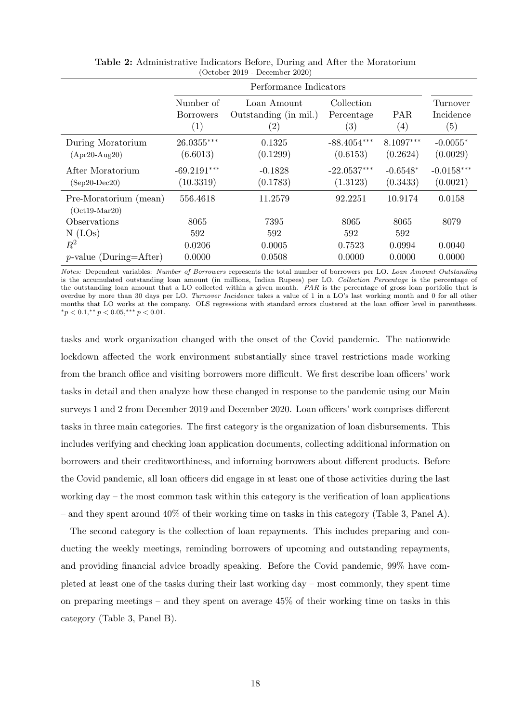<span id="page-18-0"></span>

|                                          |                                      | Performance Indicators                                    |                                               |                          |                              |  |
|------------------------------------------|--------------------------------------|-----------------------------------------------------------|-----------------------------------------------|--------------------------|------------------------------|--|
|                                          | Number of<br><b>Borrowers</b><br>(1) | Loan Amount<br>Outstanding (in mil.)<br>$\left( 2\right)$ | Collection<br>Percentage<br>$\left( 3\right)$ | PAR<br>$\left( 4\right)$ | Turnover<br>Incidence<br>(5) |  |
| During Moratorium<br>$(Apr20-Aug20)$     | $26.0355***$<br>(6.6013)             | 0.1325<br>(0.1299)                                        | $-88.4054***$<br>(0.6153)                     | $8.1097***$<br>(0.2624)  | $-0.0055*$<br>(0.0029)       |  |
| After Moratorium<br>$(Sep20-Dec20)$      | $-69.2191***$<br>(10.3319)           | $-0.1828$<br>(0.1783)                                     | $-22.0537***$<br>(1.3123)                     | $-0.6548*$<br>(0.3433)   | $-0.0158***$<br>(0.0021)     |  |
| Pre-Moratorium (mean)<br>$(Oct19-Mar20)$ | 556.4618                             | 11.2579                                                   | 92.2251                                       | 10.9174                  | 0.0158                       |  |
| Observations                             | 8065                                 | 7395                                                      | 8065                                          | 8065                     | 8079                         |  |
| $N$ (LOs)                                | 592                                  | 592                                                       | 592                                           | 592                      |                              |  |
| $\mathbb{R}^2$                           | 0.0206                               | 0.0005                                                    | 0.7523                                        | 0.0994                   | 0.0040                       |  |
| $p$ -value (During=After)                | 0.0000                               | 0.0508                                                    | 0.0000                                        | 0.0000                   | 0.0000                       |  |

Table 2: Administrative Indicators Before, During and After the Moratorium (October 2019 - December 2020)

Notes: Dependent variables: Number of Borrowers represents the total number of borrowers per LO. Loan Amount Outstanding is the accumulated outstanding loan amount (in millions, Indian Rupees) per LO. Collection Percentage is the percentage of the outstanding loan amount that a LO collected within a given month. PAR is the percentage of gross loan portfolio that is overdue by more than 30 days per LO. Turnover Incidence takes a value of 1 in a LO's last working month and 0 for all other months that LO works at the company. OLS regressions with standard errors clustered at the loan officer level in parentheses.  $*_p$  < 0.1, $*_p$  < 0.05, $***_p$  < 0.01.

tasks and work organization changed with the onset of the Covid pandemic. The nationwide lockdown affected the work environment substantially since travel restrictions made working from the branch office and visiting borrowers more difficult. We first describe loan officers' work tasks in detail and then analyze how these changed in response to the pandemic using our Main surveys 1 and 2 from December 2019 and December 2020. Loan officers' work comprises different tasks in three main categories. The first category is the organization of loan disbursements. This includes verifying and checking loan application documents, collecting additional information on borrowers and their creditworthiness, and informing borrowers about different products. Before the Covid pandemic, all loan officers did engage in at least one of those activities during the last working day – the most common task within this category is the verification of loan applications – and they spent around 40% of their working time on tasks in this category (Table [3,](#page-19-0) Panel A).

The second category is the collection of loan repayments. This includes preparing and conducting the weekly meetings, reminding borrowers of upcoming and outstanding repayments, and providing financial advice broadly speaking. Before the Covid pandemic, 99% have completed at least one of the tasks during their last working day – most commonly, they spent time on preparing meetings – and they spent on average  $45\%$  of their working time on tasks in this category (Table [3,](#page-19-0) Panel B).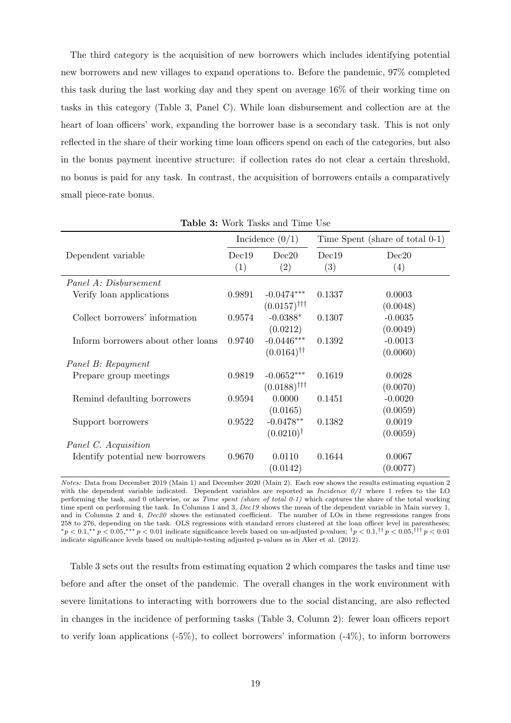The third category is the acquisition of new borrowers which includes identifying potential new borrowers and new villages to expand operations to. Before the pandemic, 97% completed this task during the last working day and they spent on average 16% of their working time on tasks in this category (Table [3,](#page-19-0) Panel C). While loan disbursement and collection are at the heart of loan officers' work, expanding the borrower base is a secondary task. This is not only reflected in the share of their working time loan officers spend on each of the categories, but also in the bonus payment incentive structure: if collection rates do not clear a certain threshold, no bonus is paid for any task. In contrast, the acquisition of borrowers entails a comparatively small piece-rate bonus.

<span id="page-19-0"></span>

|                                    |              | <b>Table 5:</b> WOTK Tasks and Thile Use  |              |                                 |
|------------------------------------|--------------|-------------------------------------------|--------------|---------------------------------|
|                                    |              | Incidence $(0/1)$                         |              | Time Spent (share of total 0-1) |
| Dependent variable                 | Dec19<br>(1) | Dec20<br>(2)                              | Dec19<br>(3) | Dec20<br>(4)                    |
| Panel A: Disbursement              |              |                                           |              |                                 |
| Verify loan applications           | 0.9891       | $-0.0474***$<br>$(0.0157)$ <sup>†††</sup> | 0.1337       | 0.0003<br>(0.0048)              |
| Collect borrowers' information     | 0.9574       | $-0.0388*$<br>(0.0212)                    | 0.1307       | $-0.0035$<br>(0.0049)           |
| Inform borrowers about other loans | 0.9740       | $-0.0446***$<br>$(0.0164)$ <sup>††</sup>  | 0.1392       | $-0.0013$<br>(0.0060)           |
| Panel B: Repayment                 |              |                                           |              |                                 |
| Prepare group meetings             | 0.9819       | $-0.0652***$<br>$(0.0188)$ <sup>†††</sup> | 0.1619       | 0.0028<br>(0.0070)              |
| Remind defaulting borrowers        | 0.9594       | 0.0000<br>(0.0165)                        | 0.1451       | $-0.0020$<br>(0.0059)           |
| Support borrowers                  | 0.9522       | $-0.0478**$<br>$(0.0210)^{\dagger}$       | 0.1382       | 0.0019<br>(0.0059)              |
| Panel C. Acquisition               |              |                                           |              |                                 |
| Identify potential new borrowers   | 0.9670       | 0.0110<br>(0.0142)                        | 0.1644       | 0.0067<br>(0.0077)              |

Table 3: Work Tasks and Time Use

Notes: Data from December 2019 (Main 1) and December 2020 (Main 2). Each row shows the results estimating equation [2](#page-14-0) with the dependent variable indicated. Dependent variables are reported as Incidence  $0/1$  where 1 refers to the LO performing the task, and 0 otherwise, or as Time spent (share of total 0-1) which captures the share of the total working time spent on performing the task. In Columns 1 and 3, Dec19 shows the mean of the dependent variable in Main survey 1, and in Columns 2 and 4, Dec20 shows the estimated coefficient. The number of LOs in these regressions ranges from 258 to 276, depending on the task. OLS regressions with standard errors clustered at the loan officer level in parentheses;  $\gamma^*p < 0.1,$ \*\*  $p < 0.05,$ \*\*\*  $p < 0.01$  indicate significance levels based on un-adjusted p-values;  $\gamma^*p < 0.1,$  $\gamma^*p < 0.05,$  $\gamma^*p < 0.01$ indicate significance levels based on multiple-testing adjusted p-values as in [Aker et al.](#page-28-5) [\(2012\)](#page-28-5).

Table [3](#page-19-0) sets out the results from estimating equation [2](#page-14-0) which compares the tasks and time use before and after the onset of the pandemic. The overall changes in the work environment with severe limitations to interacting with borrowers due to the social distancing, are also reflected in changes in the incidence of performing tasks (Table [3,](#page-19-0) Column 2): fewer loan officers report to verify loan applications  $(-5\%)$ , to collect borrowers' information  $(-4\%)$ , to inform borrowers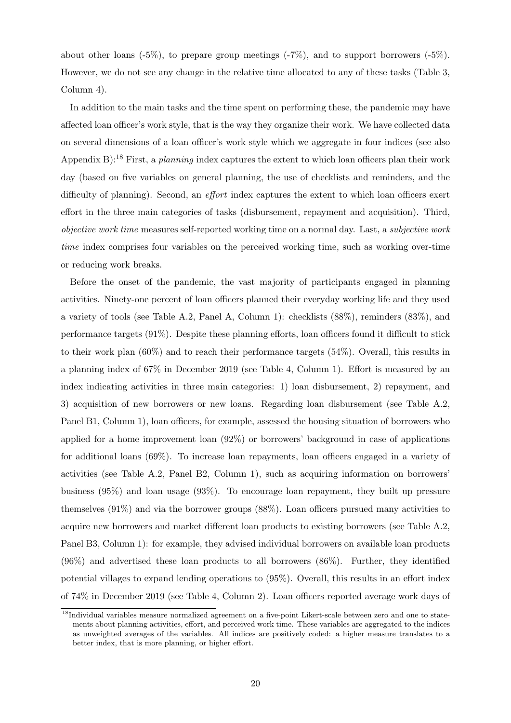about other loans  $(-5\%)$ , to prepare group meetings  $(-7\%)$ , and to support borrowers  $(-5\%)$ . However, we do not see any change in the relative time allocated to any of these tasks (Table [3,](#page-19-0) Column 4).

In addition to the main tasks and the time spent on performing these, the pandemic may have affected loan officer's work style, that is the way they organize their work. We have collected data on several dimensions of a loan officer's work style which we aggregate in four indices (see also Appendix [B\)](#page-42-0):<sup>[18](#page-20-0)</sup> First, a *planning* index captures the extent to which loan officers plan their work day (based on five variables on general planning, the use of checklists and reminders, and the difficulty of planning). Second, an effort index captures the extent to which loan officers exert effort in the three main categories of tasks (disbursement, repayment and acquisition). Third, objective work time measures self-reported working time on a normal day. Last, a subjective work time index comprises four variables on the perceived working time, such as working over-time or reducing work breaks.

Before the onset of the pandemic, the vast majority of participants engaged in planning activities. Ninety-one percent of loan officers planned their everyday working life and they used a variety of tools (see Table [A.2,](#page-34-0) Panel A, Column 1): checklists (88%), reminders (83%), and performance targets (91%). Despite these planning efforts, loan officers found it difficult to stick to their work plan (60%) and to reach their performance targets (54%). Overall, this results in a planning index of 67% in December 2019 (see Table [4,](#page-21-0) Column 1). Effort is measured by an index indicating activities in three main categories: 1) loan disbursement, 2) repayment, and 3) acquisition of new borrowers or new loans. Regarding loan disbursement (see Table [A.2,](#page-34-0) Panel B1, Column 1), loan officers, for example, assessed the housing situation of borrowers who applied for a home improvement loan (92%) or borrowers' background in case of applications for additional loans (69%). To increase loan repayments, loan officers engaged in a variety of activities (see Table [A.2,](#page-34-0) Panel B2, Column 1), such as acquiring information on borrowers' business (95%) and loan usage (93%). To encourage loan repayment, they built up pressure themselves (91%) and via the borrower groups (88%). Loan officers pursued many activities to acquire new borrowers and market different loan products to existing borrowers (see Table [A.2,](#page-34-0) Panel B3, Column 1): for example, they advised individual borrowers on available loan products (96%) and advertised these loan products to all borrowers (86%). Further, they identified potential villages to expand lending operations to (95%). Overall, this results in an effort index of 74% in December 2019 (see Table [4,](#page-21-0) Column 2). Loan officers reported average work days of

<span id="page-20-0"></span><sup>&</sup>lt;sup>18</sup>Individual variables measure normalized agreement on a five-point Likert-scale between zero and one to statements about planning activities, effort, and perceived work time. These variables are aggregated to the indices as unweighted averages of the variables. All indices are positively coded: a higher measure translates to a better index, that is more planning, or higher effort.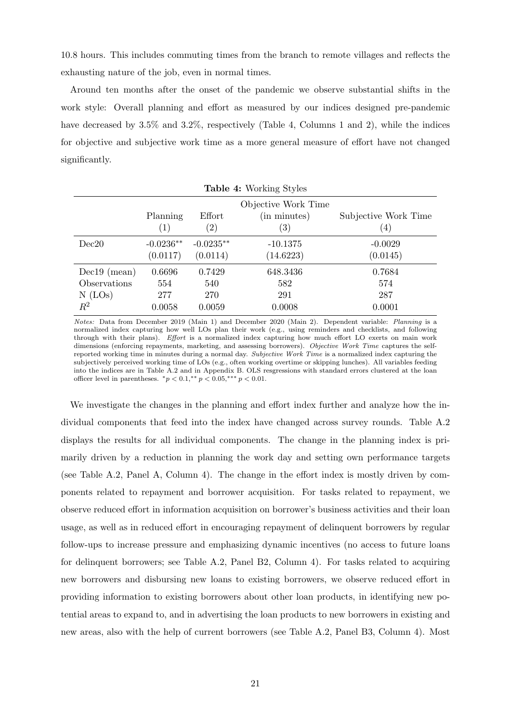10.8 hours. This includes commuting times from the branch to remote villages and reflects the exhausting nature of the job, even in normal times.

Around ten months after the onset of the pandemic we observe substantial shifts in the work style: Overall planning and effort as measured by our indices designed pre-pandemic have decreased by 3.5% and 3.2%, respectively (Table [4,](#page-21-0) Columns 1 and 2), while the indices for objective and subjective work time as a more general measure of effort have not changed significantly.

 $TT<sub>z</sub>$  L<sub>1</sub> $\leq$  4: W<sub>orking</sub> St<sub>ri</sub>les

<span id="page-21-0"></span>

| <b>Lable 4:</b> WOIKING Styles |                   |                   |                     |                      |  |  |
|--------------------------------|-------------------|-------------------|---------------------|----------------------|--|--|
|                                |                   |                   | Objective Work Time |                      |  |  |
|                                | Planning          | Effort            | (in minutes)        | Subjective Work Time |  |  |
|                                | $\left( 1\right)$ | $\left( 2\right)$ | $\left( 3\right)$   | $\left(4\right)$     |  |  |
| Dec20                          | $-0.0236**$       | $-0.0235**$       | $-10.1375$          | $-0.0029$            |  |  |
|                                | (0.0117)          | (0.0114)          | (14.6223)           | (0.0145)             |  |  |
| $Dec19$ (mean)                 | 0.6696            | 0.7429            | 648.3436            | 0.7684               |  |  |
| Observations                   | 554               | 540               | 582                 | 574                  |  |  |
| $N$ (LOs)                      | 277               | 270               | 291                 | 287                  |  |  |
| $\mathbb{R}^2$                 | 0.0058            | 0.0059            | 0.0008              | 0.0001               |  |  |

Notes: Data from December 2019 (Main 1) and December 2020 (Main 2). Dependent variable: Planning is a normalized index capturing how well LOs plan their work (e.g., using reminders and checklists, and following through with their plans). Effort is a normalized index capturing how much effort LO exerts on main work dimensions (enforcing repayments, marketing, and assessing borrowers). Objective Work Time captures the selfreported working time in minutes during a normal day. Subjective Work Time is a normalized index capturing the subjectively perceived working time of LOs (e.g., often working overtime or skipping lunches). All variables feeding into the indices are in Table [A.2](#page-34-0) and in Appendix [B.](#page-42-0) OLS resgressions with standard errors clustered at the loan officer level in parentheses.  ${}^*p < 0.1, {}^{**}p < 0.05, {}^{***}p < 0.01$ .

We investigate the changes in the planning and effort index further and analyze how the individual components that feed into the index have changed across survey rounds. Table [A.2](#page-34-0) displays the results for all individual components. The change in the planning index is primarily driven by a reduction in planning the work day and setting own performance targets (see Table [A.2,](#page-34-0) Panel A, Column 4). The change in the effort index is mostly driven by components related to repayment and borrower acquisition. For tasks related to repayment, we observe reduced effort in information acquisition on borrower's business activities and their loan usage, as well as in reduced effort in encouraging repayment of delinquent borrowers by regular follow-ups to increase pressure and emphasizing dynamic incentives (no access to future loans for delinquent borrowers; see Table [A.2,](#page-34-0) Panel B2, Column 4). For tasks related to acquiring new borrowers and disbursing new loans to existing borrowers, we observe reduced effort in providing information to existing borrowers about other loan products, in identifying new potential areas to expand to, and in advertising the loan products to new borrowers in existing and new areas, also with the help of current borrowers (see Table [A.2,](#page-34-0) Panel B3, Column 4). Most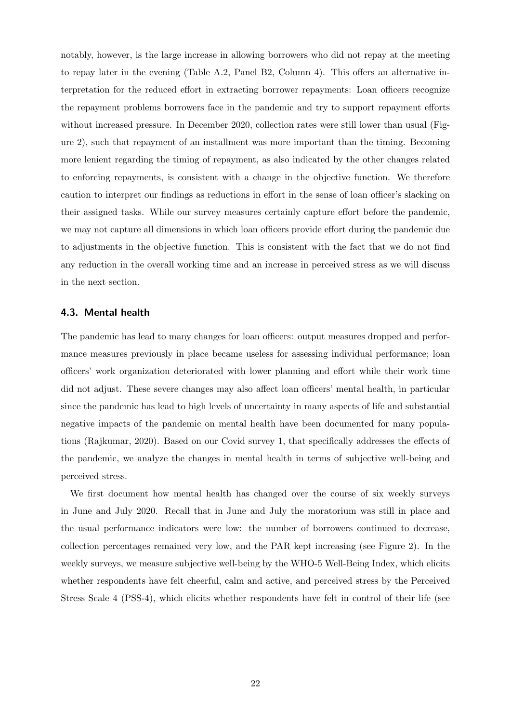notably, however, is the large increase in allowing borrowers who did not repay at the meeting to repay later in the evening (Table [A.2,](#page-34-0) Panel B2, Column 4). This offers an alternative interpretation for the reduced effort in extracting borrower repayments: Loan officers recognize the repayment problems borrowers face in the pandemic and try to support repayment efforts without increased pressure. In December 2020, collection rates were still lower than usual (Figure [2\)](#page-16-0), such that repayment of an installment was more important than the timing. Becoming more lenient regarding the timing of repayment, as also indicated by the other changes related to enforcing repayments, is consistent with a change in the objective function. We therefore caution to interpret our findings as reductions in effort in the sense of loan officer's slacking on their assigned tasks. While our survey measures certainly capture effort before the pandemic, we may not capture all dimensions in which loan officers provide effort during the pandemic due to adjustments in the objective function. This is consistent with the fact that we do not find any reduction in the overall working time and an increase in perceived stress as we will discuss in the next section.

#### 4.3. Mental health

The pandemic has lead to many changes for loan officers: output measures dropped and performance measures previously in place became useless for assessing individual performance; loan officers' work organization deteriorated with lower planning and effort while their work time did not adjust. These severe changes may also affect loan officers' mental health, in particular since the pandemic has lead to high levels of uncertainty in many aspects of life and substantial negative impacts of the pandemic on mental health have been documented for many populations [\(Rajkumar, 2020\)](#page-31-8). Based on our Covid survey 1, that specifically addresses the effects of the pandemic, we analyze the changes in mental health in terms of subjective well-being and perceived stress.

We first document how mental health has changed over the course of six weekly surveys in June and July 2020. Recall that in June and July the moratorium was still in place and the usual performance indicators were low: the number of borrowers continued to decrease, collection percentages remained very low, and the PAR kept increasing (see Figure [2\)](#page-16-0). In the weekly surveys, we measure subjective well-being by the WHO-5 Well-Being Index, which elicits whether respondents have felt cheerful, calm and active, and perceived stress by the Perceived Stress Scale 4 (PSS-4), which elicits whether respondents have felt in control of their life (see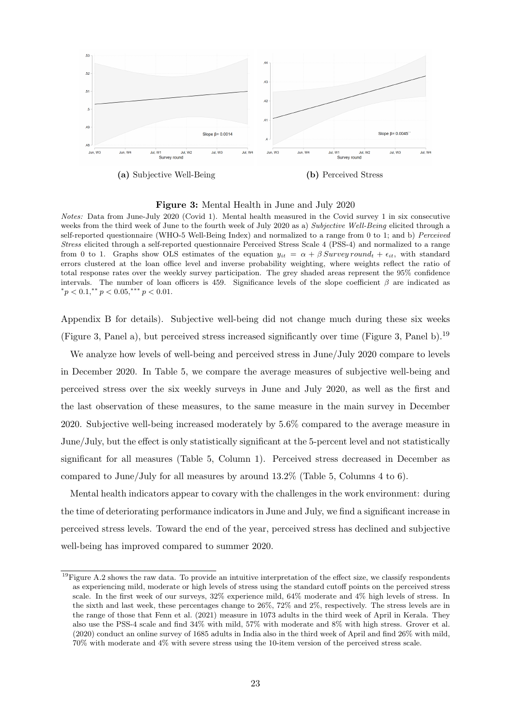<span id="page-23-0"></span>

(a) Subjective Well-Being (b) Perceived Stress

Figure 3: Mental Health in June and July 2020

Notes: Data from June-July 2020 (Covid 1). Mental health measured in the Covid survey 1 in six consecutive weeks from the third week of June to the fourth week of July 2020 as a) Subjective Well-Being elicited through a self-reported questionnaire (WHO-5 Well-Being Index) and normalized to a range from 0 to 1; and b) Perceived Stress elicited through a self-reported questionnaire Perceived Stress Scale 4 (PSS-4) and normalized to a range from 0 to 1. Graphs show OLS estimates of the equation  $y_{it} = \alpha + \beta$  Survey round<sub>t</sub> +  $\epsilon_{it}$ , with standard errors clustered at the loan office level and inverse probability weighting, where weights reflect the ratio of total response rates over the weekly survey participation. The grey shaded areas represent the 95% confidence intervals. The number of loan officers is 459. Significance levels of the slope coefficient  $\beta$  are indicated as  ${}^*p < 0.1, {}^{**}p < 0.05, {}^{***}p < 0.01.$ 

Appendix [B](#page-42-0) for details). Subjective well-being did not change much during these six weeks (Figure [3,](#page-23-0) Panel a), but perceived stress increased significantly over time (Figure 3, Panel b).<sup>[19](#page-23-1)</sup>

We analyze how levels of well-being and perceived stress in June/July 2020 compare to levels in December 2020. In Table [5,](#page-24-0) we compare the average measures of subjective well-being and perceived stress over the six weekly surveys in June and July 2020, as well as the first and the last observation of these measures, to the same measure in the main survey in December 2020. Subjective well-being increased moderately by 5.6% compared to the average measure in June/July, but the effect is only statistically significant at the 5-percent level and not statistically significant for all measures (Table [5,](#page-24-0) Column 1). Perceived stress decreased in December as compared to June/July for all measures by around  $13.2\%$  (Table [5,](#page-24-0) Columns 4 to 6).

Mental health indicators appear to covary with the challenges in the work environment: during the time of deteriorating performance indicators in June and July, we find a significant increase in perceived stress levels. Toward the end of the year, perceived stress has declined and subjective well-being has improved compared to summer 2020.

<span id="page-23-1"></span> $19$ Figure [A.2](#page-41-1) shows the raw data. To provide an intuitive interpretation of the effect size, we classify respondents as experiencing mild, moderate or high levels of stress using the standard cutoff points on the perceived stress scale. In the first week of our surveys, 32% experience mild, 64% moderate and 4% high levels of stress. In the sixth and last week, these percentages change to 26%, 72% and 2%, respectively. The stress levels are in the range of those that [Fenn et al.](#page-30-13) [\(2021\)](#page-30-13) measure in 1073 adults in the third week of April in Kerala. They also use the PSS-4 scale and find 34% with mild, 57% with moderate and 8% with high stress. [Grover et al.](#page-30-14) [\(2020\)](#page-30-14) conduct an online survey of 1685 adults in India also in the third week of April and find 26% with mild, 70% with moderate and 4% with severe stress using the 10-item version of the perceived stress scale.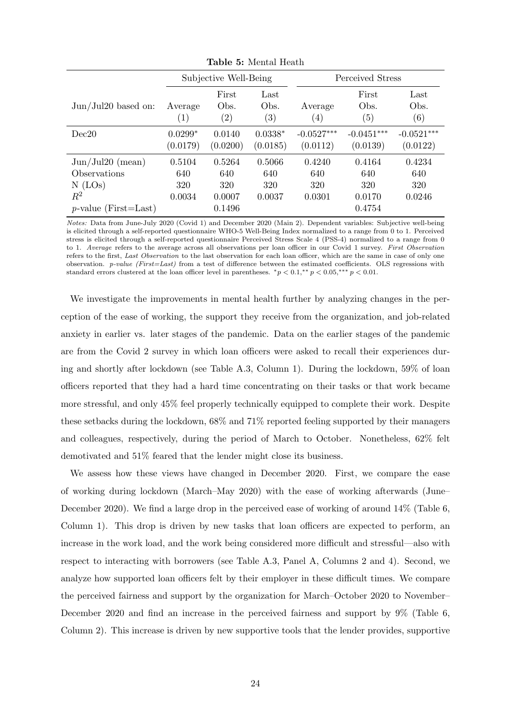<span id="page-24-0"></span>

|                                                          |                                |                                    | radio of hichar froman            |                                |                                |                                |
|----------------------------------------------------------|--------------------------------|------------------------------------|-----------------------------------|--------------------------------|--------------------------------|--------------------------------|
|                                                          | Subjective Well-Being          |                                    |                                   | Perceived Stress               |                                |                                |
| $Jun/Jul20$ based on:                                    | Average<br>$\left( 1\right)$   | First<br>Obs.<br>$\left( 2\right)$ | Last<br>Obs.<br>$\left( 3\right)$ | Average<br>$\left( 4\right)$   | First<br>Obs.<br>(5)           | Last<br>Obs.<br>(6)            |
| Dec20                                                    | $0.0299*$<br>(0.0179)          | 0.0140<br>(0.0200)                 | $0.0338*$<br>(0.0185)             | $-0.0527***$<br>(0.0112)       | $-0.0451***$<br>(0.0139)       | $-0.0521***$<br>(0.0122)       |
| Jun/Jul20 (mean)<br>Observations<br>$N$ (LOs)<br>$\,R^2$ | 0.5104<br>640<br>320<br>0.0034 | 0.5264<br>640<br>320<br>0.0007     | 0.5066<br>640<br>320<br>0.0037    | 0.4240<br>640<br>320<br>0.0301 | 0.4164<br>640<br>320<br>0.0170 | 0.4234<br>640<br>320<br>0.0246 |
| $p$ -value (First=Last)                                  |                                | 0.1496                             |                                   |                                | 0.4754                         |                                |

Table 5: Mental Heath

Notes: Data from June-July 2020 (Covid 1) and December 2020 (Main 2). Dependent variables: Subjective well-being is elicited through a self-reported questionnaire WHO-5 Well-Being Index normalized to a range from 0 to 1. Perceived stress is elicited through a self-reported questionnaire Perceived Stress Scale 4 (PSS-4) normalized to a range from 0 to 1. Average refers to the average across all observations per loan officer in our Covid 1 survey. First Observation refers to the first, Last Observation to the last observation for each loan officer, which are the same in case of only one observation.  $p-value$  (First=Last) from a test of difference between the estimated coefficients. OLS regressions with standard errors clustered at the loan officer level in parentheses.  $^*p < 0.1, ^{**}p < 0.05, ^{***}p < 0.01$ .

We investigate the improvements in mental health further by analyzing changes in the perception of the ease of working, the support they receive from the organization, and job-related anxiety in earlier vs. later stages of the pandemic. Data on the earlier stages of the pandemic are from the Covid 2 survey in which loan officers were asked to recall their experiences during and shortly after lockdown (see Table [A.3,](#page-35-0) Column 1). During the lockdown, 59% of loan officers reported that they had a hard time concentrating on their tasks or that work became more stressful, and only 45% feel properly technically equipped to complete their work. Despite these setbacks during the lockdown, 68% and 71% reported feeling supported by their managers and colleagues, respectively, during the period of March to October. Nonetheless, 62% felt demotivated and 51% feared that the lender might close its business.

We assess how these views have changed in December 2020. First, we compare the ease of working during lockdown (March–May 2020) with the ease of working afterwards (June– December 2020). We find a large drop in the perceived ease of working of around  $14\%$  (Table [6,](#page-25-1) Column 1). This drop is driven by new tasks that loan officers are expected to perform, an increase in the work load, and the work being considered more difficult and stressful—also with respect to interacting with borrowers (see Table [A.3,](#page-35-0) Panel A, Columns 2 and 4). Second, we analyze how supported loan officers felt by their employer in these difficult times. We compare the perceived fairness and support by the organization for March–October 2020 to November– December 2020 and find an increase in the perceived fairness and support by 9% (Table [6,](#page-25-1) Column 2). This increase is driven by new supportive tools that the lender provides, supportive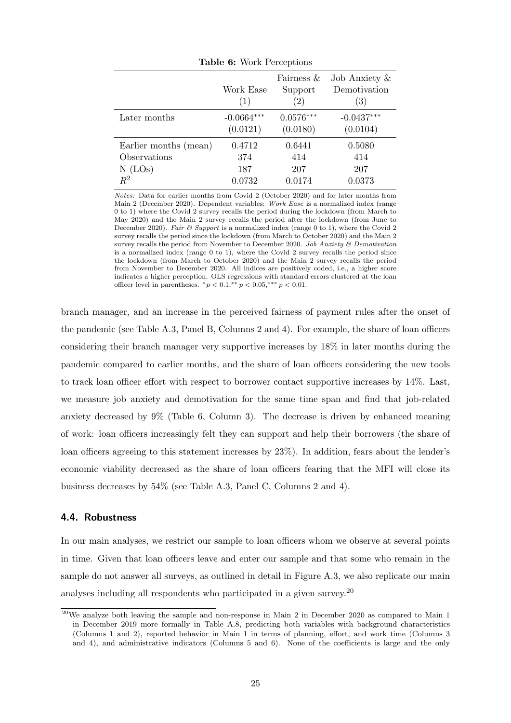<span id="page-25-1"></span>

|                       | Work Ease<br>(1)         | Fairness &<br>Support<br>$\left( 2\right)$ | Job Anxiety $\&$<br>Demotivation<br>(3) |
|-----------------------|--------------------------|--------------------------------------------|-----------------------------------------|
| Later months          | $-0.0664***$<br>(0.0121) | $0.0576***$<br>(0.0180)                    | $-0.0437***$<br>(0.0104)                |
| Earlier months (mean) | 0.4712                   | 0.6441                                     | 0.5080                                  |
| Observations          | 374                      | 414                                        | 414                                     |
| $N$ (LOs)             | 187                      | 207                                        | 207                                     |
| $\,R^2$               | 0.0732                   | 0.0174                                     | 0.0373                                  |

Table 6: Work Perceptions

Notes: Data for earlier months from Covid 2 (October 2020) and for later months from Main 2 (December 2020). Dependent variables: Work Ease is a normalized index (range 0 to 1) where the Covid 2 survey recalls the period during the lockdown (from March to May 2020) and the Main 2 survey recalls the period after the lockdown (from June to December 2020). Fair & Support is a normalized index (range 0 to 1), where the Covid 2 survey recalls the period since the lockdown (from March to October 2020) and the Main 2 survey recalls the period from November to December 2020. Job Anxiety & Demotivation is a normalized index (range 0 to 1), where the Covid 2 survey recalls the period since the lockdown (from March to October 2020) and the Main 2 survey recalls the period from November to December 2020. All indices are positively coded, i.e., a higher score indicates a higher perception. OLS regressions with standard errors clustered at the loan officer level in parentheses.  ${}^*p < 0.1, {}^{**}p < 0.05, {}^{***}p < 0.01$ .

branch manager, and an increase in the perceived fairness of payment rules after the onset of the pandemic (see Table [A.3,](#page-35-0) Panel B, Columns 2 and 4). For example, the share of loan officers considering their branch manager very supportive increases by 18% in later months during the pandemic compared to earlier months, and the share of loan officers considering the new tools to track loan officer effort with respect to borrower contact supportive increases by 14%. Last, we measure job anxiety and demotivation for the same time span and find that job-related anxiety decreased by 9% (Table [6,](#page-25-1) Column 3). The decrease is driven by enhanced meaning of work: loan officers increasingly felt they can support and help their borrowers (the share of loan officers agreeing to this statement increases by 23%). In addition, fears about the lender's economic viability decreased as the share of loan officers fearing that the MFI will close its business decreases by 54% (see Table [A.3,](#page-35-0) Panel C, Columns 2 and 4).

#### <span id="page-25-0"></span>4.4. Robustness

In our main analyses, we restrict our sample to loan officers whom we observe at several points in time. Given that loan officers leave and enter our sample and that some who remain in the sample do not answer all surveys, as outlined in detail in Figure [A.3,](#page-41-0) we also replicate our main analyses including all respondents who participated in a given survey.<sup>[20](#page-25-2)</sup>

<span id="page-25-2"></span><sup>&</sup>lt;sup>20</sup>We analyze both leaving the sample and non-response in Main 2 in December 2020 as compared to Main 1 in December 2019 more formally in Table [A.8,](#page-38-0) predicting both variables with background characteristics (Columns 1 and 2), reported behavior in Main 1 in terms of planning, effort, and work time (Columns 3 and 4), and administrative indicators (Columns 5 and 6). None of the coefficients is large and the only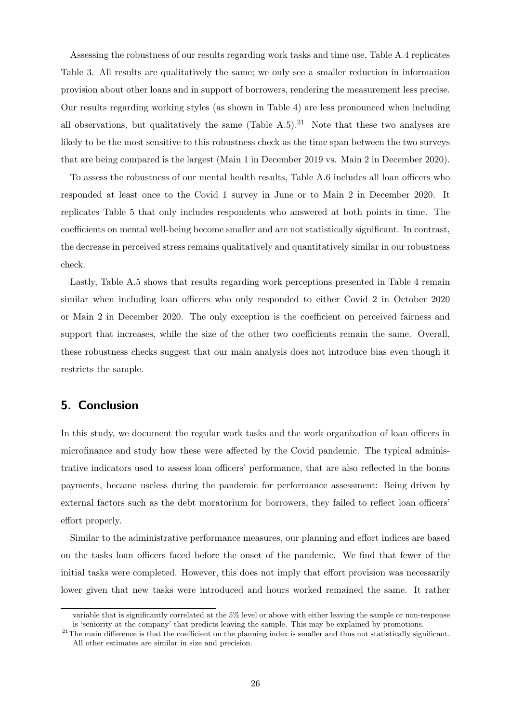Assessing the robustness of our results regarding work tasks and time use, Table [A.4](#page-36-0) replicates Table [3.](#page-19-0) All results are qualitatively the same; we only see a smaller reduction in information provision about other loans and in support of borrowers, rendering the measurement less precise. Our results regarding working styles (as shown in Table [4\)](#page-21-0) are less pronounced when including all observations, but qualitatively the same  $(Table A.5).^{21}$  $(Table A.5).^{21}$  $(Table A.5).^{21}$  $(Table A.5).^{21}$  $(Table A.5).^{21}$  Note that these two analyses are likely to be the most sensitive to this robustness check as the time span between the two surveys that are being compared is the largest (Main 1 in December 2019 vs. Main 2 in December 2020).

To assess the robustness of our mental health results, Table [A.6](#page-37-0) includes all loan officers who responded at least once to the Covid 1 survey in June or to Main 2 in December 2020. It replicates Table [5](#page-24-0) that only includes respondents who answered at both points in time. The coefficients on mental well-being become smaller and are not statistically significant. In contrast, the decrease in perceived stress remains qualitatively and quantitatively similar in our robustness check.

Lastly, Table [A.5](#page-36-1) shows that results regarding work perceptions presented in Table [4](#page-21-0) remain similar when including loan officers who only responded to either Covid 2 in October 2020 or Main 2 in December 2020. The only exception is the coefficient on perceived fairness and support that increases, while the size of the other two coefficients remain the same. Overall, these robustness checks suggest that our main analysis does not introduce bias even though it restricts the sample.

## 5. Conclusion

In this study, we document the regular work tasks and the work organization of loan officers in microfinance and study how these were affected by the Covid pandemic. The typical administrative indicators used to assess loan officers' performance, that are also reflected in the bonus payments, became useless during the pandemic for performance assessment: Being driven by external factors such as the debt moratorium for borrowers, they failed to reflect loan officers' effort properly.

Similar to the administrative performance measures, our planning and effort indices are based on the tasks loan officers faced before the onset of the pandemic. We find that fewer of the initial tasks were completed. However, this does not imply that effort provision was necessarily lower given that new tasks were introduced and hours worked remained the same. It rather

variable that is significantly correlated at the 5% level or above with either leaving the sample or non-response is 'seniority at the company' that predicts leaving the sample. This may be explained by promotions.

<span id="page-26-0"></span><sup>&</sup>lt;sup>21</sup>The main difference is that the coefficient on the planning index is smaller and thus not statistically significant. All other estimates are similar in size and precision.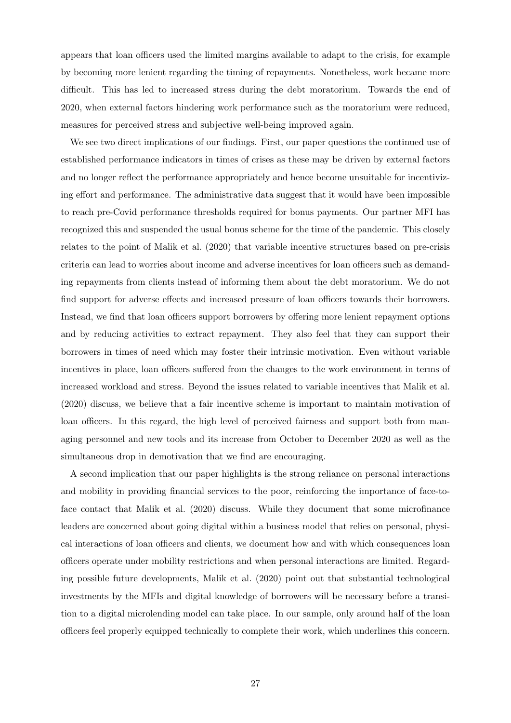appears that loan officers used the limited margins available to adapt to the crisis, for example by becoming more lenient regarding the timing of repayments. Nonetheless, work became more difficult. This has led to increased stress during the debt moratorium. Towards the end of 2020, when external factors hindering work performance such as the moratorium were reduced, measures for perceived stress and subjective well-being improved again.

We see two direct implications of our findings. First, our paper questions the continued use of established performance indicators in times of crises as these may be driven by external factors and no longer reflect the performance appropriately and hence become unsuitable for incentivizing effort and performance. The administrative data suggest that it would have been impossible to reach pre-Covid performance thresholds required for bonus payments. Our partner MFI has recognized this and suspended the usual bonus scheme for the time of the pandemic. This closely relates to the point of [Malik et al.](#page-31-2) [\(2020\)](#page-31-2) that variable incentive structures based on pre-crisis criteria can lead to worries about income and adverse incentives for loan officers such as demanding repayments from clients instead of informing them about the debt moratorium. We do not find support for adverse effects and increased pressure of loan officers towards their borrowers. Instead, we find that loan officers support borrowers by offering more lenient repayment options and by reducing activities to extract repayment. They also feel that they can support their borrowers in times of need which may foster their intrinsic motivation. Even without variable incentives in place, loan officers suffered from the changes to the work environment in terms of increased workload and stress. Beyond the issues related to variable incentives that [Malik et al.](#page-31-2) [\(2020\)](#page-31-2) discuss, we believe that a fair incentive scheme is important to maintain motivation of loan officers. In this regard, the high level of perceived fairness and support both from managing personnel and new tools and its increase from October to December 2020 as well as the simultaneous drop in demotivation that we find are encouraging.

A second implication that our paper highlights is the strong reliance on personal interactions and mobility in providing financial services to the poor, reinforcing the importance of face-toface contact that [Malik et al.](#page-31-2) [\(2020\)](#page-31-2) discuss. While they document that some microfinance leaders are concerned about going digital within a business model that relies on personal, physical interactions of loan officers and clients, we document how and with which consequences loan officers operate under mobility restrictions and when personal interactions are limited. Regarding possible future developments, [Malik et al.](#page-31-2) [\(2020\)](#page-31-2) point out that substantial technological investments by the MFIs and digital knowledge of borrowers will be necessary before a transition to a digital microlending model can take place. In our sample, only around half of the loan officers feel properly equipped technically to complete their work, which underlines this concern.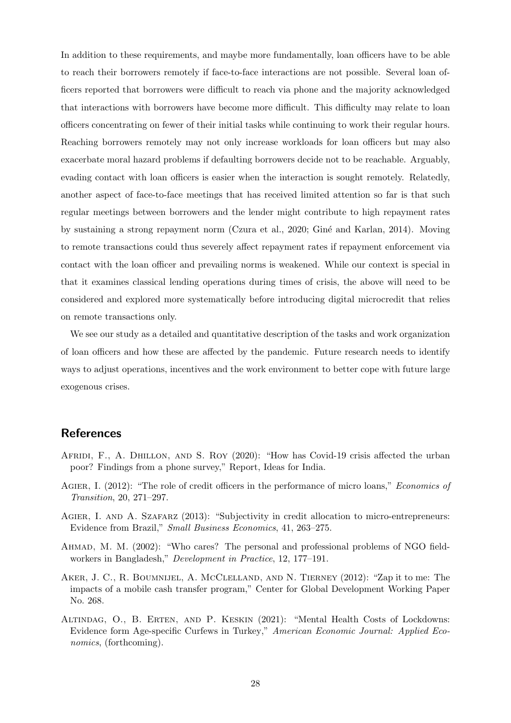In addition to these requirements, and maybe more fundamentally, loan officers have to be able to reach their borrowers remotely if face-to-face interactions are not possible. Several loan officers reported that borrowers were difficult to reach via phone and the majority acknowledged that interactions with borrowers have become more difficult. This difficulty may relate to loan officers concentrating on fewer of their initial tasks while continuing to work their regular hours. Reaching borrowers remotely may not only increase workloads for loan officers but may also exacerbate moral hazard problems if defaulting borrowers decide not to be reachable. Arguably, evading contact with loan officers is easier when the interaction is sought remotely. Relatedly, another aspect of face-to-face meetings that has received limited attention so far is that such regular meetings between borrowers and the lender might contribute to high repayment rates by sustaining a strong repayment norm [\(Czura et al., 2020;](#page-29-3) Giné and Karlan, 2014). Moving to remote transactions could thus severely affect repayment rates if repayment enforcement via contact with the loan officer and prevailing norms is weakened. While our context is special in that it examines classical lending operations during times of crisis, the above will need to be considered and explored more systematically before introducing digital microcredit that relies on remote transactions only.

We see our study as a detailed and quantitative description of the tasks and work organization of loan officers and how these are affected by the pandemic. Future research needs to identify ways to adjust operations, incentives and the work environment to better cope with future large exogenous crises.

### References

- <span id="page-28-0"></span>AFRIDI, F., A. DHILLON, AND S. ROY (2020): "How has Covid-19 crisis affected the urban poor? Findings from a phone survey," Report, Ideas for India.
- <span id="page-28-3"></span>AGIER, I. (2012): "The role of credit officers in the performance of micro loans," Economics of Transition, 20, 271–297.
- <span id="page-28-2"></span>AGIER, I. AND A. SZAFARZ (2013): "Subjectivity in credit allocation to micro-entrepreneurs: Evidence from Brazil," Small Business Economics, 41, 263–275.
- <span id="page-28-4"></span>Ahmad, M. M. (2002): "Who cares? The personal and professional problems of NGO fieldworkers in Bangladesh," Development in Practice, 12, 177–191.
- <span id="page-28-5"></span>AKER, J. C., R. BOUMNIJEL, A. MCCLELLAND, AND N. TIERNEY (2012): "Zap it to me: The impacts of a mobile cash transfer program," Center for Global Development Working Paper No. 268.
- <span id="page-28-1"></span>Altindag, O., B. Erten, and P. Keskin (2021): "Mental Health Costs of Lockdowns: Evidence form Age-specific Curfews in Turkey," American Economic Journal: Applied Economics, (forthcoming).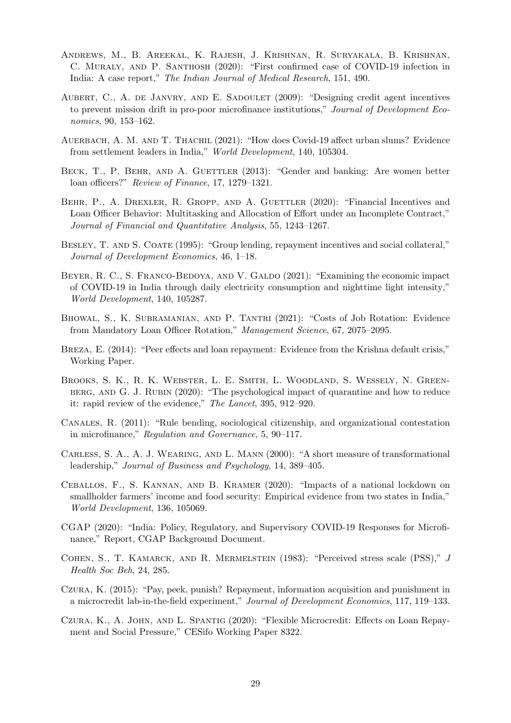- <span id="page-29-4"></span>Andrews, M., B. Areekal, K. Rajesh, J. Krishnan, R. Suryakala, B. Krishnan, C. MURALY, AND P. SANTHOSH (2020): "First confirmed case of COVID-19 infection in India: A case report," The Indian Journal of Medical Research, 151, 490.
- <span id="page-29-6"></span>Aubert, C., A. de Janvry, and E. Sadoulet (2009): "Designing credit agent incentives to prevent mission drift in pro-poor microfinance institutions," Journal of Development Economics, 90, 153–162.
- <span id="page-29-13"></span>AUERBACH, A. M. AND T. THACHIL (2021): "How does Covid-19 affect urban slums? Evidence from settlement leaders in India," World Development, 140, 105304.
- <span id="page-29-9"></span>BECK, T., P. BEHR, AND A. GUETTLER (2013): "Gender and banking: Are women better loan officers?" Review of Finance, 17, 1279–1321.
- <span id="page-29-7"></span>BEHR, P., A. DREXLER, R. GROPP, AND A. GUETTLER (2020): "Financial Incentives and Loan Officer Behavior: Multitasking and Allocation of Effort under an Incomplete Contract," Journal of Financial and Quantitative Analysis, 55, 1243–1267.
- <span id="page-29-1"></span>BESLEY, T. AND S. COATE (1995): "Group lending, repayment incentives and social collateral," Journal of Development Economics, 46, 1–18.
- <span id="page-29-11"></span>BEYER, R. C., S. FRANCO-BEDOYA, AND V. GALDO (2021): "Examining the economic impact of COVID-19 in India through daily electricity consumption and nighttime light intensity," World Development, 140, 105287.
- <span id="page-29-8"></span>Bhowal, S., K. Subramanian, and P. Tantri (2021): "Costs of Job Rotation: Evidence from Mandatory Loan Officer Rotation," Management Science, 67, 2075–2095.
- <span id="page-29-0"></span>BREZA, E. (2014): "Peer effects and loan repayment: Evidence from the Krishna default crisis," Working Paper.
- <span id="page-29-5"></span>Brooks, S. K., R. K. Webster, L. E. Smith, L. Woodland, S. Wessely, N. Greenberg, and G. J. Rubin (2020): "The psychological impact of quarantine and how to reduce it: rapid review of the evidence," The Lancet, 395, 912–920.
- <span id="page-29-10"></span>Canales, R. (2011): "Rule bending, sociological citizenship, and organizational contestation in microfinance," Regulation and Governance, 5, 90–117.
- <span id="page-29-16"></span>Carless, S. A., A. J. Wearing, and L. Mann (2000): "A short measure of transformational leadership," Journal of Business and Psychology, 14, 389–405.
- <span id="page-29-12"></span>Ceballos, F., S. Kannan, and B. Kramer (2020): "Impacts of a national lockdown on smallholder farmers' income and food security: Empirical evidence from two states in India," World Development, 136, 105069.
- <span id="page-29-14"></span>CGAP (2020): "India: Policy, Regulatory, and Supervisory COVID-19 Responses for Microfinance," Report, CGAP Background Document.
- <span id="page-29-15"></span>COHEN, S., T. KAMARCK, AND R. MERMELSTEIN (1983): "Perceived stress scale (PSS)," J Health Soc Beh, 24, 285.
- <span id="page-29-2"></span>Czura, K. (2015): "Pay, peek, punish? Repayment, information acquisition and punishment in a microcredit lab-in-the-field experiment," Journal of Development Economics, 117, 119–133.
- <span id="page-29-3"></span>Czura, K., A. John, and L. Spantig (2020): "Flexible Microcredit: Effects on Loan Repayment and Social Pressure," CESifo Working Paper 8322.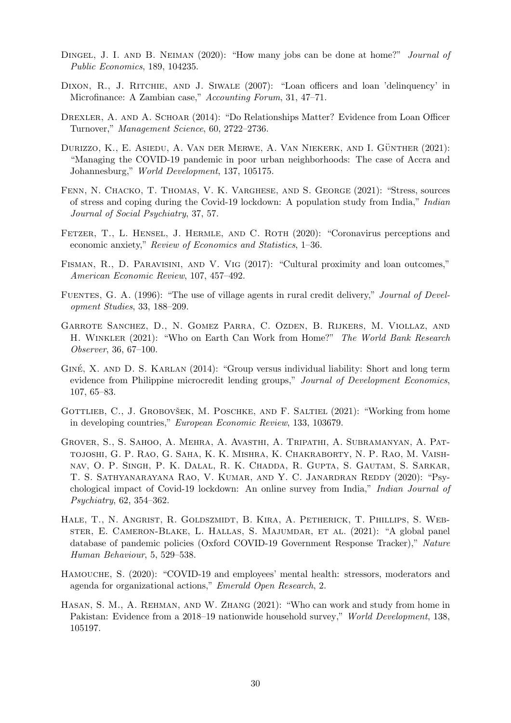- <span id="page-30-7"></span>DINGEL, J. I. AND B. NEIMAN (2020): "How many jobs can be done at home?" *Journal of* Public Economics, 189, 104235.
- <span id="page-30-6"></span>DIXON, R., J. RITCHIE, AND J. SIWALE (2007): "Loan officers and loan 'delinquency' in Microfinance: A Zambian case," Accounting Forum, 31, 47–71.
- <span id="page-30-4"></span>Drexler, A. and A. Schoar (2014): "Do Relationships Matter? Evidence from Loan Officer Turnover," Management Science, 60, 2722–2736.
- <span id="page-30-1"></span>DURIZZO, K., E. ASIEDU, A. VAN DER MERWE, A. VAN NIEKERK, AND I. GÜNTHER  $(2021)$ : "Managing the COVID-19 pandemic in poor urban neighborhoods: The case of Accra and Johannesburg," World Development, 137, 105175.
- <span id="page-30-13"></span>Fenn, N. Chacko, T. Thomas, V. K. Varghese, and S. George (2021): "Stress, sources of stress and coping during the Covid-19 lockdown: A population study from India," Indian Journal of Social Psychiatry, 37, 57.
- <span id="page-30-2"></span>FETZER, T., L. HENSEL, J. HERMLE, AND C. ROTH (2020): "Coronavirus perceptions and economic anxiety," Review of Economics and Statistics, 1–36.
- <span id="page-30-5"></span>Fisman, R., D. Paravisini, and V. Vig (2017): "Cultural proximity and loan outcomes," American Economic Review, 107, 457–492.
- <span id="page-30-3"></span>FUENTES, G. A. (1996): "The use of village agents in rural credit delivery," Journal of Development Studies, 33, 188–209.
- <span id="page-30-9"></span>Garrote Sanchez, D., N. Gomez Parra, C. Ozden, B. Rijkers, M. Viollaz, and H. Winkler (2021): "Who on Earth Can Work from Home?" The World Bank Research Observer, 36, 67–100.
- <span id="page-30-0"></span>GINÉ, X. AND D. S. KARLAN (2014): "Group versus individual liability: Short and long term evidence from Philippine microcredit lending groups," Journal of Development Economics, 107, 65–83.
- <span id="page-30-8"></span>GOTTLIEB, C., J. GROBOVŠEK, M. POSCHKE, AND F. SALTIEL (2021): "Working from home in developing countries," European Economic Review, 133, 103679.
- <span id="page-30-14"></span>Grover, S., S. Sahoo, A. Mehra, A. Avasthi, A. Tripathi, A. Subramanyan, A. Pattojoshi, G. P. Rao, G. Saha, K. K. Mishra, K. Chakraborty, N. P. Rao, M. Vaishnav, O. P. Singh, P. K. Dalal, R. K. Chadda, R. Gupta, S. Gautam, S. Sarkar, T. S. Sathyanarayana Rao, V. Kumar, and Y. C. Janardran Reddy (2020): "Psychological impact of Covid-19 lockdown: An online survey from India," Indian Journal of Psychiatry, 62, 354–362.
- <span id="page-30-12"></span>Hale, T., N. Angrist, R. Goldszmidt, B. Kira, A. Petherick, T. Phillips, S. Webster, E. Cameron-Blake, L. Hallas, S. Majumdar, et al. (2021): "A global panel database of pandemic policies (Oxford COVID-19 Government Response Tracker)," Nature Human Behaviour, 5, 529–538.
- <span id="page-30-10"></span>Hamouche, S. (2020): "COVID-19 and employees' mental health: stressors, moderators and agenda for organizational actions," Emerald Open Research, 2.
- <span id="page-30-11"></span>Hasan, S. M., A. Rehman, and W. Zhang (2021): "Who can work and study from home in Pakistan: Evidence from a 2018–19 nationwide household survey," World Development, 138, 105197.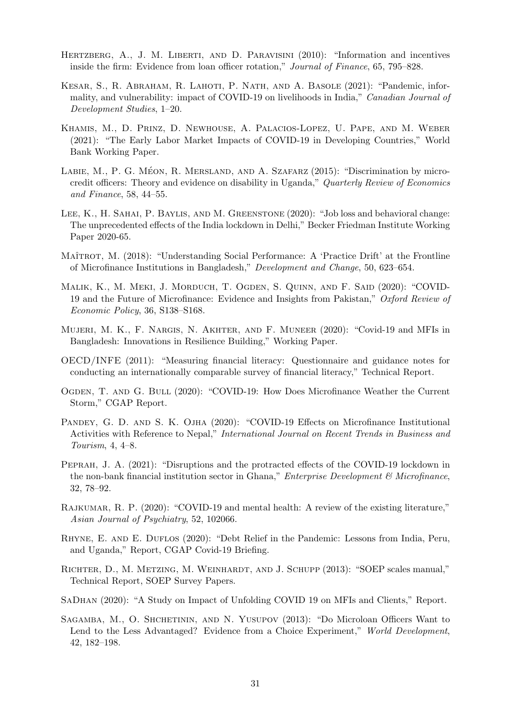- <span id="page-31-9"></span>HERTZBERG, A., J. M. LIBERTI, AND D. PARAVISINI (2010): "Information and incentives inside the firm: Evidence from loan officer rotation," Journal of Finance, 65, 795–828.
- <span id="page-31-0"></span>Kesar, S., R. Abraham, R. Lahoti, P. Nath, and A. Basole (2021): "Pandemic, informality, and vulnerability: impact of COVID-19 on livelihoods in India," Canadian Journal of Development Studies, 1–20.
- <span id="page-31-13"></span>Khamis, M., D. Prinz, D. Newhouse, A. Palacios-Lopez, U. Pape, and M. Weber (2021): "The Early Labor Market Impacts of COVID-19 in Developing Countries," World Bank Working Paper.
- <span id="page-31-10"></span>LABIE, M., P. G. MÉON, R. MERSLAND, AND A. SZAFARZ  $(2015)$ : "Discrimination by microcredit officers: Theory and evidence on disability in Uganda," Quarterly Review of Economics and Finance, 58, 44–55.
- <span id="page-31-5"></span>Lee, K., H. Sahai, P. Baylis, and M. Greenstone (2020): "Job loss and behavioral change: The unprecedented effects of the India lockdown in Delhi," Becker Friedman Institute Working Paper 2020-65.
- <span id="page-31-12"></span>MAÎTROT, M. (2018): "Understanding Social Performance: A 'Practice Drift' at the Frontline of Microfinance Institutions in Bangladesh," Development and Change, 50, 623–654.
- <span id="page-31-2"></span>MALIK, K., M. MEKI, J. MORDUCH, T. OGDEN, S. QUINN, AND F. SAID (2020): "COVID-19 and the Future of Microfinance: Evidence and Insights from Pakistan," Oxford Review of Economic Policy, 36, S138–S168.
- <span id="page-31-6"></span>Mujeri, M. K., F. Nargis, N. Akhter, and F. Muneer (2020): "Covid-19 and MFIs in Bangladesh: Innovations in Resilience Building," Working Paper.
- <span id="page-31-16"></span>OECD/INFE (2011): "Measuring financial literacy: Questionnaire and guidance notes for conducting an internationally comparable survey of financial literacy," Technical Report.
- <span id="page-31-1"></span>Ogden, T. and G. Bull (2020): "COVID-19: How Does Microfinance Weather the Current Storm," CGAP Report.
- <span id="page-31-3"></span>PANDEY, G. D. AND S. K. OJHA (2020): "COVID-19 Effects on Microfinance Institutional Activities with Reference to Nepal," International Journal on Recent Trends in Business and Tourism, 4, 4–8.
- <span id="page-31-7"></span>Peprah, J. A. (2021): "Disruptions and the protracted effects of the COVID-19 lockdown in the non-bank financial institution sector in Ghana," Enterprise Development & Microfinance, 32, 78–92.
- <span id="page-31-8"></span>Rajkumar, R. P. (2020): "COVID-19 and mental health: A review of the existing literature," Asian Journal of Psychiatry, 52, 102066.
- <span id="page-31-4"></span>RHYNE, E. AND E. DUFLOS (2020): "Debt Relief in the Pandemic: Lessons from India, Peru, and Uganda," Report, CGAP Covid-19 Briefing.
- <span id="page-31-15"></span>Richter, D., M. Metzing, M. Weinhardt, and J. Schupp (2013): "SOEP scales manual," Technical Report, SOEP Survey Papers.
- <span id="page-31-14"></span>SaDhan (2020): "A Study on Impact of Unfolding COVID 19 on MFIs and Clients," Report.
- <span id="page-31-11"></span>SAGAMBA, M., O. SHCHETININ, AND N. YUSUPOV (2013): "Do Microloan Officers Want to Lend to the Less Advantaged? Evidence from a Choice Experiment," World Development, 42, 182–198.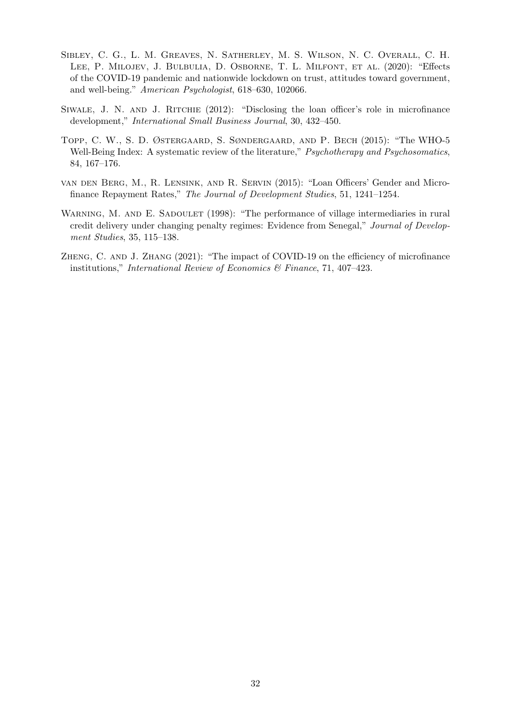- <span id="page-32-1"></span>Sibley, C. G., L. M. Greaves, N. Satherley, M. S. Wilson, N. C. Overall, C. H. Lee, P. Milojev, J. Bulbulia, D. Osborne, T. L. Milfont, et al. (2020): "Effects of the COVID-19 pandemic and nationwide lockdown on trust, attitudes toward government, and well-being." American Psychologist, 618–630, 102066.
- <span id="page-32-4"></span>Siwale, J. N. and J. Ritchie (2012): "Disclosing the loan officer's role in microfinance development," International Small Business Journal, 30, 432–450.
- <span id="page-32-5"></span>Topp, C. W., S. D. Østergaard, S. Søndergaard, and P. Bech (2015): "The WHO-5 Well-Being Index: A systematic review of the literature," Psychotherapy and Psychosomatics, 84, 167–176.
- <span id="page-32-3"></span>van den Berg, M., R. Lensink, and R. Servin (2015): "Loan Officers' Gender and Microfinance Repayment Rates," The Journal of Development Studies, 51, 1241–1254.
- <span id="page-32-2"></span>WARNING, M. AND E. SADOULET (1998): "The performance of village intermediaries in rural credit delivery under changing penalty regimes: Evidence from Senegal," Journal of Development Studies, 35, 115–138.
- <span id="page-32-0"></span>Zheng, C. and J. Zhang (2021): "The impact of COVID-19 on the efficiency of microfinance institutions," International Review of Economics & Finance, 71, 407–423.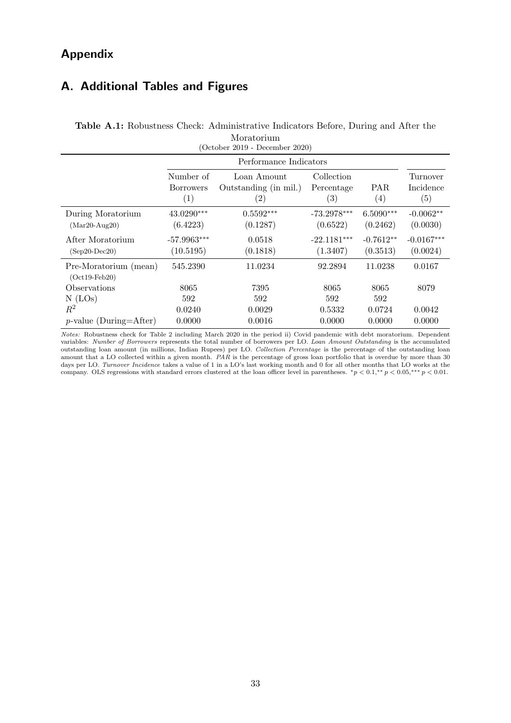## Appendix

## A. Additional Tables and Figures

| Moratorium<br>$(October 2019 - December 2020)$ |                                                    |                                                           |                                 |                          |                              |  |
|------------------------------------------------|----------------------------------------------------|-----------------------------------------------------------|---------------------------------|--------------------------|------------------------------|--|
|                                                |                                                    | Performance Indicators                                    |                                 |                          |                              |  |
|                                                | Number of<br><b>Borrowers</b><br>$\left( 1\right)$ | Loan Amount<br>Outstanding (in mil.)<br>$\left( 2\right)$ | Collection<br>Percentage<br>(3) | PAR<br>$\left( 4\right)$ | Turnover<br>Incidence<br>(5) |  |
| During Moratorium<br>$(Mar20-Aug20)$           | 43.0290***<br>(6.4223)                             | $0.5592***$<br>(0.1287)                                   | $-73.2978***$<br>(0.6522)       | $6.5090***$<br>(0.2462)  | $-0.0062**$<br>(0.0030)      |  |
| After Moratorium<br>$(Sep20-Dec20)$            | $-57.9963***$<br>(10.5195)                         | 0.0518<br>(0.1818)                                        | $-22.1181***$<br>(1.3407)       | $-0.7612**$<br>(0.3513)  | $-0.0167***$<br>(0.0024)     |  |
| Pre-Moratorium (mean)<br>$(Oct19-Feb20)$       | 545.2390                                           | 11.0234                                                   | 92.2894                         | 11.0238                  | 0.0167                       |  |
| Observations                                   | 8065                                               | 7395                                                      | 8065                            | 8065                     | 8079                         |  |
| $N$ (LOs)                                      | 592                                                | 592                                                       | 592                             | 592                      |                              |  |
| $\,R^2$                                        | 0.0240                                             | 0.0029                                                    | 0.5332                          | 0.0724                   | 0.0042                       |  |
| $p$ -value (During=After)                      | 0.0000                                             | 0.0016                                                    | 0.0000                          | 0.0000                   | 0.0000                       |  |

## <span id="page-33-0"></span>Table A.1: Robustness Check: Administrative Indicators Before, During and After the Moratorium

Notes: Robustness check for Table [2](#page-18-0) including March 2020 in the period ii) Covid pandemic with debt moratorium. Dependent variables: Number of Borrowers represents the total number of borrowers per LO. Loan Amount Outstanding is the accumulated outstanding loan amount (in millions, Indian Rupees) per LO. Collection Percentage is the percentage of the outstanding loan amount that a LO collected within a given month. PAR is the percentage of gross loan portfolio that is overdue by more than 30 days per LO. Turnover Incidence takes a value of 1 in a LO's last working month and 0 for all other months that LO works at the company. OLS regressions with standard errors clustered at the loan officer level in parentheses.  $\frac{*p}{0.1,*} \times 0.05, \frac{**p}{0.01}$ .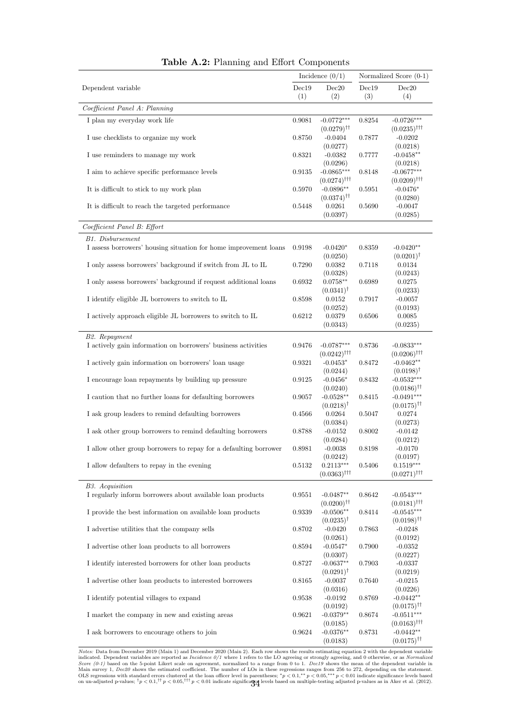<span id="page-34-0"></span>

|                                                                  | Incidence $(0/1)$ |                                                    | Normalized Score (0-1) |                                             |
|------------------------------------------------------------------|-------------------|----------------------------------------------------|------------------------|---------------------------------------------|
| Dependent variable                                               | Dec19             | Dec20                                              | Dec19                  | Dec20                                       |
|                                                                  | (1)               | (2)                                                | (3)                    | (4)                                         |
| Coefficient Panel A: Planning                                    |                   |                                                    |                        |                                             |
| I plan my everyday work life                                     | 0.9081            | $-0.0772***$<br>$(0.0279)$ <sup>††</sup>           | 0.8254                 | $-0.0726***$<br>$(0.0235)$ <sup>†††</sup>   |
| I use checklists to organize my work                             | 0.8750            | $-0.0404$                                          | 0.7877                 | $-0.0202$                                   |
| I use reminders to manage my work                                | 0.8321            | (0.0277)<br>$-0.0382$<br>(0.0296)                  | 0.7777                 | (0.0218)<br>$-0.0458**$<br>(0.0218)         |
| I aim to achieve specific performance levels                     | 0.9135            | $-0.0865***$<br>$(0.0274)$ <sup>†††</sup>          | 0.8148                 | $-0.0677***$<br>$(0.0209)$ <sup>†††</sup>   |
| It is difficult to stick to my work plan                         | 0.5970            | $-0.0896**$<br>$(0.0374)$ <sup>††</sup>            | 0.5951                 | $-0.0476*$<br>(0.0280)                      |
| It is difficult to reach the targeted performance                | 0.5448            | 0.0261<br>(0.0397)                                 | 0.5690                 | $-0.0047$<br>(0.0285)                       |
| Coefficient Panel B: Effort                                      |                   |                                                    |                        |                                             |
| <b>B1.</b> Disbursement                                          |                   |                                                    |                        |                                             |
| I assess borrowers' housing situation for home improvement loans | 0.9198            | $-0.0420*$<br>(0.0250)                             | 0.8359                 | $-0.0420**$<br>$(0.0201)^{\dagger}$         |
| I only assess borrowers' background if switch from JL to IL      | 0.7290            | 0.0382<br>(0.0328)                                 | 0.7118                 | 0.0134<br>(0.0243)                          |
| I only assess borrowers' background if request additional loans  | 0.6932            | $0.0758**$<br>$(0.0341)^{\dagger}$                 | 0.6989                 | 0.0275<br>(0.0233)                          |
| I identify eligible JL borrowers to switch to IL                 | 0.8598            | 0.0152<br>(0.0252)                                 | 0.7917                 | $-0.0057$<br>(0.0193)                       |
| I actively approach eligible JL borrowers to switch to IL        | 0.6212            | 0.0379<br>(0.0343)                                 | 0.6506                 | 0.0085<br>(0.0235)                          |
| B2. Repayment                                                    |                   |                                                    |                        |                                             |
| I actively gain information on borrowers' business activities    | 0.9476            | $-0.0787***$<br>$(0.0242)^{\dagger\dagger\dagger}$ | 0.8736                 | $-0.0833***$<br>$(0.0206)$ <sup>†††</sup>   |
| I actively gain information on borrowers' loan usage             | 0.9321            | $-0.0453*$<br>(0.0244)                             | 0.8472                 | $-0.0462**$<br>$(0.0198)^{\dagger}$         |
| I encourage loan repayments by building up pressure              | 0.9125            | $-0.0456*$<br>(0.0240)                             | 0.8432                 | $-0.0532***$<br>$(0.0186)$ <sup>††</sup>    |
| I caution that no further loans for defaulting borrowers         | 0.9057            | $-0.0528**$<br>$(0.0218)^{\dagger}$                | 0.8415                 | $-0.0491***$<br>$(0.0175)^{\dagger\dagger}$ |
| I ask group leaders to remind defaulting borrowers               | 0.4566            | 0.0264<br>(0.0384)                                 | 0.5047                 | 0.0274<br>(0.0273)                          |
| I ask other group borrowers to remind defaulting borrowers       | 0.8788            | $-0.0152$<br>(0.0284)                              | 0.8002                 | $-0.0142$<br>(0.0212)                       |
| I allow other group borrowers to repay for a defaulting borrower | 0.8981            | $-0.0038$<br>(0.0242)                              | 0.8198                 | $-0.0170$<br>(0.0197)                       |
| I allow defaulters to repay in the evening                       | 0.5132            | $0.2113***$<br>$(0.0363)$ <sup>†††</sup>           | 0.5406                 | $0.1519***$<br>$(0.0271)$ <sup>†††</sup>    |
| B3. Acquisition                                                  |                   |                                                    |                        |                                             |
| I regularly inform borrowers about available loan products       | 0.9551            | $-0.0487**$<br>$(0.0200)^{\dagger\dagger}$         | 0.8642                 | $-0.0543***$<br>$(0.0181)$ <sup>†††</sup>   |
| I provide the best information on available loan products        | 0.9339            | $-0.0506**$<br>$(0.0235)^{\dagger}$                | 0.8414                 | $-0.0545***$<br>$(0.0198)$ <sup>††</sup>    |
| I advertise utilities that the company sells                     | 0.8702            | $-0.0420$<br>(0.0261)                              | 0.7863                 | $-0.0248$<br>(0.0192)                       |
| I advertise other loan products to all borrowers                 | 0.8594            | $-0.0547*$<br>(0.0307)                             | 0.7900                 | $-0.0352$<br>(0.0227)                       |
| I identify interested borrowers for other loan products          | 0.8727            | $-0.0637**$<br>$(0.0291)$ <sup>†</sup>             | 0.7903                 | $-0.0337$<br>(0.0219)                       |
| I advertise other loan products to interested borrowers          | 0.8165            | $-0.0037$<br>(0.0316)                              | 0.7640                 | $-0.0215$<br>(0.0226)                       |
| I identify potential villages to expand                          | 0.9538            | $-0.0192$<br>(0.0192)                              | 0.8769                 | $-0.0442**$<br>$(0.0175)^{\dagger\dagger}$  |
| I market the company in new and existing areas                   | 0.9621            | $-0.0379**$<br>(0.0185)                            | 0.8674                 | $-0.0511***$<br>$(0.0163)$ <sup>†††</sup>   |
| I ask borrowers to encourage others to join                      | 0.9624            | $-0.0376**$<br>(0.0183)                            | 0.8731                 | $-0.0442**$<br>$(0.0175)^{\dagger\dagger}$  |

Table A.2: Planning and Effort Components

*Notes:* Data from December [2](#page-14-0)019 (Main 1) and December 2020 (Main 2). Each row shows the results estimating equation 2 with the dependent variable indicated. Dependent variables are reported as *Incidence 0/1* where 1 ref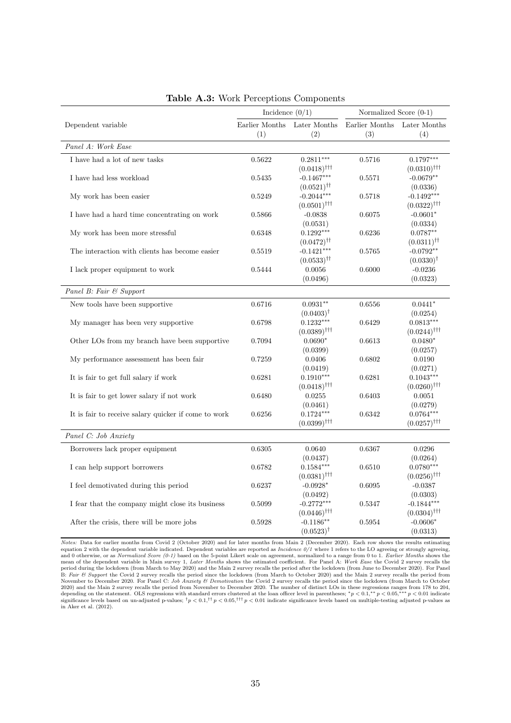<span id="page-35-0"></span>

|                                                      | Incidence $(0/1)$     |                                          | Normalized Score (0-1)     |                                          |  |
|------------------------------------------------------|-----------------------|------------------------------------------|----------------------------|------------------------------------------|--|
| Dependent variable                                   | Earlier Months<br>(1) | Later Months<br>(2)                      | Earlier Months $\,$<br>(3) | Later Months<br>(4)                      |  |
| Panel A: Work Ease                                   |                       |                                          |                            |                                          |  |
| I have had a lot of new tasks                        | 0.5622                | $0.2811***$                              | 0.5716                     | $0.1797***$                              |  |
|                                                      |                       | $(0.0418)$ <sup>†††</sup>                |                            | $(0.0310)$ <sup>†††</sup>                |  |
| I have had less workload                             | 0.5435                | $-0.1467***$                             | 0.5571                     | $-0.0679**$                              |  |
|                                                      |                       | $(0.0521)$ <sup>††</sup>                 |                            | (0.0336)                                 |  |
| My work has been easier                              | 0.5249                | $-0.2044***$                             | 0.5718                     | $-0.1492***$                             |  |
|                                                      |                       | $(0.0501)$ <sup>†††</sup>                |                            | $(0.0322)$ <sup>†††</sup>                |  |
| I have had a hard time concentrating on work         | 0.5866                | $-0.0838$                                | 0.6075                     | $-0.0601*$                               |  |
|                                                      | 0.6348                | (0.0531)<br>$0.1292***$                  | 0.6236                     | (0.0334)<br>$0.0787**$                   |  |
| My work has been more stressful                      |                       | $(0.0472)^{\dagger\dagger}$              |                            | $(0.0311)$ <sup>††</sup>                 |  |
| The interaction with clients has become easier       | 0.5519                | $-0.1421***$                             | 0.5765                     | $-0.0792**$                              |  |
|                                                      |                       | $(0.0533)^{\dagger\dagger}$              |                            | $(0.0330)^{\dagger}$                     |  |
| I lack proper equipment to work                      | 0.5444                | 0.0056                                   | 0.6000                     | $-0.0236$                                |  |
|                                                      |                       | (0.0496)                                 |                            | (0.0323)                                 |  |
| Panel B: Fair & Support                              |                       |                                          |                            |                                          |  |
| New tools have been supportive                       | 0.6716                | $0.0931**$                               | 0.6556                     | $0.0441*$                                |  |
|                                                      |                       | $(0.0403)^{\dagger}$                     |                            | (0.0254)                                 |  |
| My manager has been very supportive                  | 0.6798                | $0.1232***$                              | 0.6429                     | $0.0813***$                              |  |
|                                                      |                       | $(0.0389)$ <sup>†††</sup>                |                            | $(0.0244)$ <sup>†††</sup>                |  |
| Other LOs from my branch have been supportive        | 0.7094                | $0.0690*$                                | 0.6613                     | $0.0480*$                                |  |
|                                                      |                       | (0.0399)                                 |                            | (0.0257)                                 |  |
| My performance assessment has been fair              | 0.7259                | 0.0406                                   | 0.6802                     | 0.0190                                   |  |
|                                                      |                       | (0.0419)                                 |                            | (0.0271)                                 |  |
| It is fair to get full salary if work                | 0.6281                | $0.1910***$<br>$(0.0418)$ <sup>†††</sup> | 0.6281                     | $0.1043***$<br>$(0.0260)$ <sup>†††</sup> |  |
| It is fair to get lower salary if not work           | 0.6480                | $\,0.0255\,$                             | 0.6403                     | $\,0.0051\,$                             |  |
|                                                      |                       | (0.0461)                                 |                            | (0.0279)                                 |  |
| It is fair to receive salary quicker if come to work | 0.6256                | $0.1724***$                              | 0.6342                     | $0.0764***$                              |  |
|                                                      |                       | $(0.0399)$ <sup>†††</sup>                |                            | $(0.0257)$ <sup>†††</sup>                |  |
| Panel C: Job Anxiety                                 |                       |                                          |                            |                                          |  |
| Borrowers lack proper equipment                      | 0.6305                | 0.0640                                   | 0.6367                     | $\,0.0296\,$                             |  |
|                                                      |                       | (0.0437)                                 |                            | (0.0264)                                 |  |
| I can help support borrowers                         | 0.6782                | $0.1584***$                              | 0.6510                     | $0.0780***$                              |  |
|                                                      |                       | $(0.0381)$ <sup>†††</sup>                |                            | $(0.0256)$ <sup>†††</sup>                |  |
| I feel demotivated during this period                | 0.6237                | $-0.0928*$                               | 0.6095                     | $-0.0387$                                |  |
|                                                      |                       | (0.0492)                                 |                            | (0.0303)                                 |  |
| I fear that the company might close its business     | 0.5099                | $-0.2772***$                             | 0.5347                     | $-0.1844***$                             |  |
|                                                      |                       | $(0.0446)$ <sup>†††</sup>                |                            | $(0.0304)$ <sup>†††</sup>                |  |
| After the crisis, there will be more jobs            | 0.5928                | $-0.1186**$                              | 0.5954                     | $-0.0606*$                               |  |
|                                                      |                       | $(0.0523)^{\dagger}$                     |                            | (0.0313)                                 |  |

|  |  | Table A.3: Work Perceptions Components |  |
|--|--|----------------------------------------|--|
|--|--|----------------------------------------|--|

Notes: Data for earlier months from Covid 2 (October 2020) and for later months from Main 2 (December 2020). Each row shows the results estimating equation [2](#page-14-0) with the dependent variable indicated. Dependent variables are reported as Incidence  $0/1$  where 1 refers to the LO agreeing or strongly agreeing, and 0 otherwise, or as *Normalized Score* (0-1) based on the 5-point Likert scale on agreement, normalized to a range from 0 to 1. *Earlier Months* shows the mean of the dependent variable in Main survey 1, *Later Months* B: Fair & Support the Covid 2 survey recalls the period since the lockdown (from March to October 2020) and the Main 2 survey recalls the period from<br>November to December 2020. For Panel C: Job Anxiety & Demotivation the C 2020) and the Main 2 survey recalls the period from November to December 2020. The number of distinct LOs in these regressions ranges from 178 to 204, depending on the statement. OLS regressions with standard errors clust in [Aker et al.](#page-28-5) [\(2012\)](#page-28-5).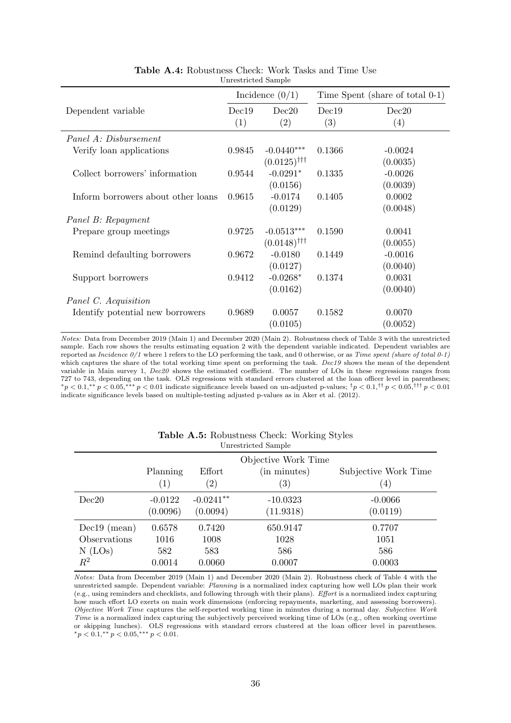<span id="page-36-0"></span>

|                                    |              | Incidence $(0/1)$                         | Time Spent (share of total 0-1) |                       |  |
|------------------------------------|--------------|-------------------------------------------|---------------------------------|-----------------------|--|
| Dependent variable                 | Dec19<br>(1) | Dec20<br>(2)                              | Dec19<br>(3)                    | Dec20<br>(4)          |  |
| Panel A: Disbursement              |              |                                           |                                 |                       |  |
| Verify loan applications           | 0.9845       | $-0.0440***$<br>$(0.0125)$ <sup>†††</sup> | 0.1366                          | $-0.0024$<br>(0.0035) |  |
| Collect borrowers' information     | 0.9544       | $-0.0291*$<br>(0.0156)                    | 0.1335                          | $-0.0026$<br>(0.0039) |  |
| Inform borrowers about other loans | 0.9615       | $-0.0174$<br>(0.0129)                     | 0.1405                          | 0.0002<br>(0.0048)    |  |
| Panel B: Repayment                 |              |                                           |                                 |                       |  |
| Prepare group meetings             | 0.9725       | $-0.0513***$<br>$(0.0148)$ <sup>†††</sup> | 0.1590                          | 0.0041<br>(0.0055)    |  |
| Remind defaulting borrowers        | 0.9672       | $-0.0180$<br>(0.0127)                     | 0.1449                          | $-0.0016$<br>(0.0040) |  |
| Support borrowers                  | 0.9412       | $-0.0268*$<br>(0.0162)                    | 0.1374                          | 0.0031<br>(0.0040)    |  |
| Panel C. Acquisition               |              |                                           |                                 |                       |  |
| Identify potential new borrowers   | 0.9689       | 0.0057<br>(0.0105)                        | 0.1582                          | 0.0070<br>(0.0052)    |  |

Table A.4: Robustness Check: Work Tasks and Time Use Unrestricted Sample

Notes: Data from December 2019 (Main 1) and December 2020 (Main 2). Robustness check of Table [3](#page-19-0) with the unrestricted sample. Each row shows the results estimating equation [2](#page-14-0) with the dependent variable indicated. Dependent variables are reported as Incidence 0/1 where 1 refers to the LO performing the task, and 0 otherwise, or as Time spent (share of total 0-1) which captures the share of the total working time spent on performing the task. Dec19 shows the mean of the dependent variable in Main survey 1, Dec20 shows the estimated coefficient. The number of LOs in these regressions ranges from 727 to 743, depending on the task. OLS regressions with standard errors clustered at the loan officer level in parentheses;  $\gamma^* p < 0.1,$ <sup>\*\*</sup> $p < 0.05,$ <sup>\*\*\*</sup> $p < 0.01$  indicate significance levels based on un-adjusted p-values;  $\gamma^* p < 0.1,$ <sup>††</sup> $p < 0.05,$ <sup>†††</sup> $p < 0.01$ indicate significance levels based on multiple-testing adjusted p-values as in [Aker et al.](#page-28-5) [\(2012\)](#page-28-5).

<span id="page-36-1"></span>

| Unrestricted Sample |                   |                   |                     |                      |  |
|---------------------|-------------------|-------------------|---------------------|----------------------|--|
|                     |                   |                   | Objective Work Time |                      |  |
|                     | Planning          | Effort            | (in minutes)        | Subjective Work Time |  |
|                     | $\left( 1\right)$ | $\left( 2\right)$ | $\left( 3\right)$   | $\left(4\right)$     |  |
| Dec20               | $-0.0122$         | $-0.0241**$       | $-10.0323$          | $-0.0066$            |  |
|                     | (0.0096)          | (0.0094)          | (11.9318)           | (0.0119)             |  |
| $Dec19$ (mean)      | 0.6578            | 0.7420            | 650.9147            | 0.7707               |  |
| Observations        | 1016              | 1008              | 1028                | 1051                 |  |
| $N$ (LOs)           | 582               | 583               | 586                 | 586                  |  |
| $\,R^2$             | 0.0014            | 0.0060            | 0.0007              | 0.0003               |  |

| Table A.5: Robustness Check: Working Styles |                     |  |  |
|---------------------------------------------|---------------------|--|--|
|                                             | Unrestricted Sample |  |  |

Notes: Data from December 2019 (Main 1) and December 2020 (Main 2). Robustness check of Table [4](#page-21-0) with the unrestricted sample. Dependent variable: Planning is a normalized index capturing how well LOs plan their work (e.g., using reminders and checklists, and following through with their plans). Effort is a normalized index capturing how much effort LO exerts on main work dimensions (enforcing repayments, marketing, and assessing borrowers). Objective Work Time captures the self-reported working time in minutes during a normal day. Subjective Work Time is a normalized index capturing the subjectively perceived working time of LOs (e.g., often working overtime or skipping lunches). OLS regressions with standard errors clustered at the loan officer level in parentheses.  $*_p$  < 0.1,\*\*  $p$  < 0.05,\*\*\*  $p$  < 0.01.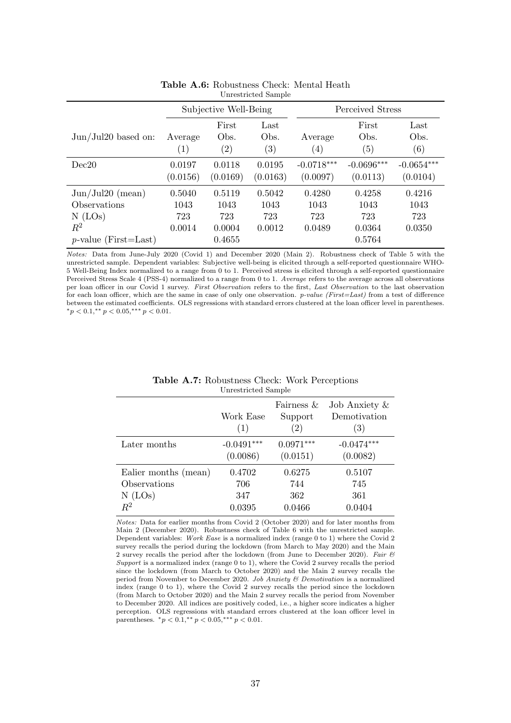<span id="page-37-0"></span>

|                                                                                            | Subjective Well-Being           |                                           |                                 | Perceived Stress                |                                           |                                 |
|--------------------------------------------------------------------------------------------|---------------------------------|-------------------------------------------|---------------------------------|---------------------------------|-------------------------------------------|---------------------------------|
| $Jun/Jul20$ based on:                                                                      | Average<br>(1)                  | First<br>Obs.<br>$\left( 2\right)$        | Last<br>Obs.<br>(3)             | Average<br>$\left( 4\right)$    | First<br>Obs.<br>(5)                      | Last<br>Obs.<br>(6)             |
| Dec20                                                                                      | 0.0197<br>(0.0156)              | 0.0118<br>(0.0169)                        | 0.0195<br>(0.0163)              | $-0.0718***$<br>(0.0097)        | $-0.0696***$<br>(0.0113)                  | $-0.0654***$<br>(0.0104)        |
| Jun/Jul20 (mean)<br>Observations<br>$N$ (LOs)<br>$\mathbb{R}^2$<br>$p$ -value (First=Last) | 0.5040<br>1043<br>723<br>0.0014 | 0.5119<br>1043<br>723<br>0.0004<br>0.4655 | 0.5042<br>1043<br>723<br>0.0012 | 0.4280<br>1043<br>723<br>0.0489 | 0.4258<br>1043<br>723<br>0.0364<br>0.5764 | 0.4216<br>1043<br>723<br>0.0350 |

#### Table A.6: Robustness Check: Mental Heath Unrestricted Sample

Notes: Data from June-July 2020 (Covid 1) and December 2020 (Main 2). Robustness check of Table [5](#page-24-0) with the unrestricted sample. Dependent variables: Subjective well-being is elicited through a self-reported questionnaire WHO-5 Well-Being Index normalized to a range from 0 to 1. Perceived stress is elicited through a self-reported questionnaire Perceived Stress Scale 4 (PSS-4) normalized to a range from 0 to 1. Average refers to the average across all observations per loan officer in our Covid 1 survey. First Observation refers to the first, Last Observation to the last observation for each loan officer, which are the same in case of only one observation. p-value (First=Last) from a test of difference between the estimated coefficients. OLS regressions with standard errors clustered at the loan officer level in parentheses.  $*_p$  < 0.1, $*_p$  < 0.05, $**_p$  < 0.01.

|                      | Work Ease<br>(1) | Fairness $&$<br>Support<br>$\left( 2\right)$ | Job Anxiety $\&$<br>Demotivation<br>(3) |
|----------------------|------------------|----------------------------------------------|-----------------------------------------|
| Later months         | $-0.0491***$     | $0.0971***$                                  | $-0.0474***$                            |
|                      | (0.0086)         | (0.0151)                                     | (0.0082)                                |
| Ealier months (mean) | 0.4702           | 0.6275                                       | 0.5107                                  |
| Observations         | 706              | 744                                          | 745                                     |
| $N$ (LOs)            | 347              | 362                                          | 361                                     |
| $R^2$                | 0.0395           | 0.0466                                       | 0.0404                                  |

#### Table A.7: Robustness Check: Work Perceptions Unrestricted Sample

Notes: Data for earlier months from Covid 2 (October 2020) and for later months from Main 2 (December 2020). Robustness check of Table [6](#page-25-1) with the unrestricted sample. Dependent variables: Work Ease is a normalized index (range 0 to 1) where the Covid 2 survey recalls the period during the lockdown (from March to May 2020) and the Main 2 survey recalls the period after the lockdown (from June to December 2020). Fair  $\mathcal B$ Support is a normalized index (range 0 to 1), where the Covid 2 survey recalls the period since the lockdown (from March to October 2020) and the Main 2 survey recalls the period from November to December 2020. Job Anxiety & Demotivation is a normalized index (range 0 to 1), where the Covid 2 survey recalls the period since the lockdown (from March to October 2020) and the Main 2 survey recalls the period from November to December 2020. All indices are positively coded, i.e., a higher score indicates a higher perception. OLS regressions with standard errors clustered at the loan officer level in parentheses.  ${}^*p < 0.1, {}^{**}p < 0.05, {}^{***}p < 0.01$ .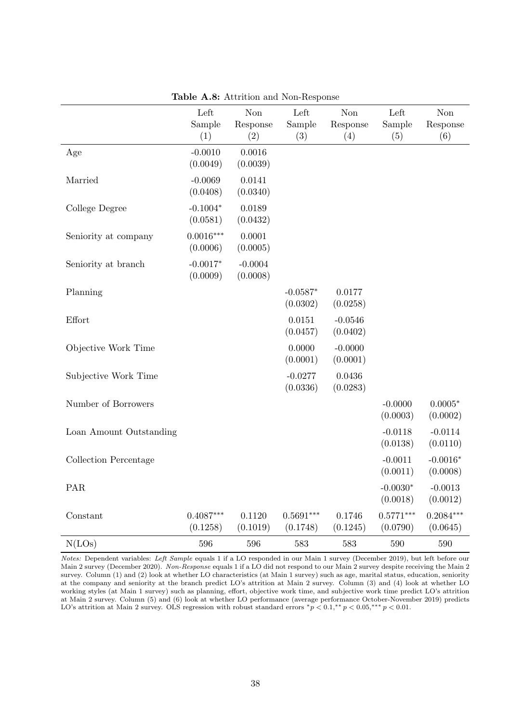<span id="page-38-0"></span>

|                         | Left<br>Sample<br>(1)   | Non<br>Response<br>(2) | Left<br>Sample<br>(3)   | Non<br>Response<br>(4) | Left<br>Sample<br>(5)   | <b>Non</b><br>Response<br>(6) |
|-------------------------|-------------------------|------------------------|-------------------------|------------------------|-------------------------|-------------------------------|
| Age                     | $-0.0010$<br>(0.0049)   | 0.0016<br>(0.0039)     |                         |                        |                         |                               |
| Married                 | $-0.0069$<br>(0.0408)   | 0.0141<br>(0.0340)     |                         |                        |                         |                               |
| College Degree          | $-0.1004*$<br>(0.0581)  | 0.0189<br>(0.0432)     |                         |                        |                         |                               |
| Seniority at company    | $0.0016***$<br>(0.0006) | 0.0001<br>(0.0005)     |                         |                        |                         |                               |
| Seniority at branch     | $-0.0017*$<br>(0.0009)  | $-0.0004$<br>(0.0008)  |                         |                        |                         |                               |
| Planning                |                         |                        | $-0.0587*$<br>(0.0302)  | 0.0177<br>(0.0258)     |                         |                               |
| Effort                  |                         |                        | 0.0151<br>(0.0457)      | $-0.0546$<br>(0.0402)  |                         |                               |
| Objective Work Time     |                         |                        | 0.0000<br>(0.0001)      | $-0.0000$<br>(0.0001)  |                         |                               |
| Subjective Work Time    |                         |                        | $-0.0277$<br>(0.0336)   | 0.0436<br>(0.0283)     |                         |                               |
| Number of Borrowers     |                         |                        |                         |                        | $-0.0000$<br>(0.0003)   | $0.0005*$<br>(0.0002)         |
| Loan Amount Outstanding |                         |                        |                         |                        | $-0.0118$<br>(0.0138)   | $-0.0114$<br>(0.0110)         |
| Collection Percentage   |                         |                        |                         |                        | $-0.0011$<br>(0.0011)   | $-0.0016*$<br>(0.0008)        |
| PAR                     |                         |                        |                         |                        | $-0.0030*$<br>(0.0018)  | $-0.0013$<br>(0.0012)         |
| Constant                | $0.4087***$<br>(0.1258) | 0.1120<br>(0.1019)     | $0.5691***$<br>(0.1748) | 0.1746<br>(0.1245)     | $0.5771***$<br>(0.0790) | $0.2084***$<br>(0.0645)       |
| N(LOs)                  | 596                     | 596                    | 583                     | 583                    | 590                     | 590                           |

Table A.8: Attrition and Non-Response

Notes: Dependent variables: Left Sample equals 1 if a LO responded in our Main 1 survey (December 2019), but left before our Main 2 survey (December 2020). Non-Response equals 1 if a LO did not respond to our Main 2 survey despite receiving the Main 2 survey. Column (1) and (2) look at whether LO characteristics (at Main 1 survey) such as age, marital status, education, seniority at the company and seniority at the branch predict LO's attrition at Main 2 survey. Column (3) and (4) look at whether LO working styles (at Main 1 survey) such as planning, effort, objective work time, and subjective work time predict LO's attrition at Main 2 survey. Column (5) and (6) look at whether LO performance (average performance October-November 2019) predicts LO's attrition at Main 2 survey. OLS regression with robust standard errors  ${}^*p$  < 0.1,<sup>\*\*</sup>  $p$  < 0.05,\*\*\*  $p$  < 0.01.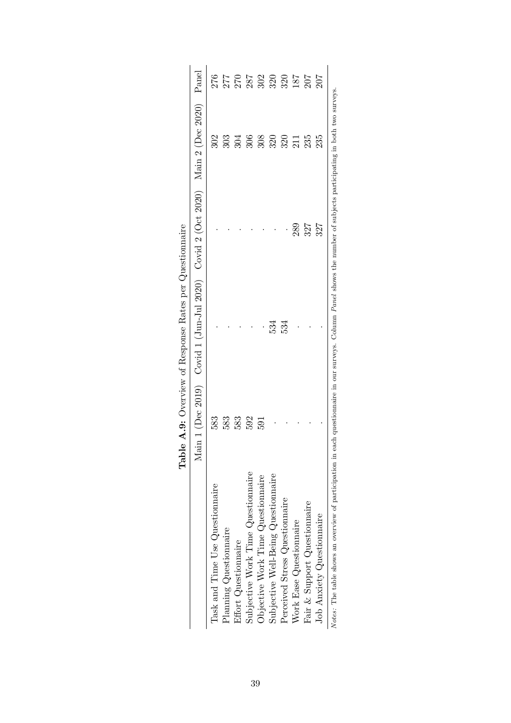|                                                                                                                                                                        |     | Table A.9: Overview of Response Rates per Questionnaire                       |     |                 |       |
|------------------------------------------------------------------------------------------------------------------------------------------------------------------------|-----|-------------------------------------------------------------------------------|-----|-----------------|-------|
|                                                                                                                                                                        |     | Main 1 (Dec 2019) Covid 1 (Jun-Jul 2020) Covid 2 (Oct 2020) Main 2 (Dec 2020) |     |                 | Panel |
| Task and Time Use Questionnaire                                                                                                                                        | 583 |                                                                               |     | 302             | 276   |
| Planning Questionnaire                                                                                                                                                 | 583 |                                                                               |     | $\mathfrak{so}$ | 277   |
| Effort Questionnaire                                                                                                                                                   | 583 |                                                                               |     | 304             | 270   |
| Subjective Work Time Questionnaire                                                                                                                                     | 592 |                                                                               |     | 306             | 287   |
| Objective Work Time Questionnaire                                                                                                                                      | 591 |                                                                               |     | 308             | 302   |
| Subjective Well-Being Questionnaire                                                                                                                                    |     | 534                                                                           |     | 320             | 320   |
| Perceived Stress Questionnaire                                                                                                                                         |     | 534                                                                           |     | 320             | 320   |
| Work Ease Questionnaire                                                                                                                                                |     |                                                                               | 289 | 211             | 187   |
| Fair & Support Questionnaire                                                                                                                                           |     |                                                                               | 327 | 235             | 207   |
| Job Anxiety Questionnaire                                                                                                                                              |     |                                                                               | 327 | 235             | 207   |
| Notes: The table shows an overview of participation in each questionnaire in our surveys. Column Panel shows the number of subjects participating in both two surveys. |     |                                                                               |     |                 |       |

| しきょく こうしょう<br>I<br>(         |
|------------------------------|
|                              |
|                              |
| Í<br>)<br>1<br>1<br>)<br>ĺ   |
| ;<br>1<br>i<br>(             |
| $\vdots$                     |
| ADIC T<br>$\frac{1}{6}$<br>ĺ |

39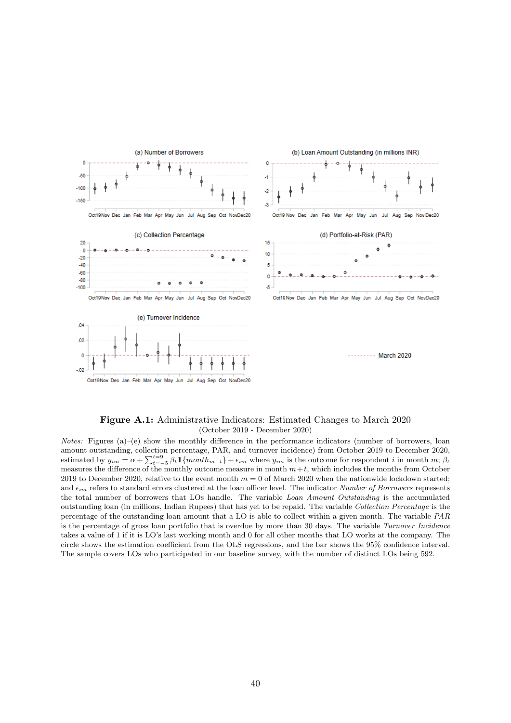<span id="page-40-0"></span>

#### Figure A.1: Administrative Indicators: Estimated Changes to March 2020 (October 2019 - December 2020)

*Notes:* Figures (a)–(e) show the monthly difference in the performance indicators (number of borrowers, loan amount outstanding, collection percentage, PAR, and turnover incidence) from October 2019 to December 2020, estimated by  $y_{im} = \alpha + \sum_{t=-5}^{t=9} \beta_t \mathbb{1} \{ month_{m+t} \} + \epsilon_{im}$  where  $y_{im}$  is the outcome for respondent i in month m;  $\beta_t$ measures the difference of the monthly outcome measure in month  $m+t$ , which includes the months from October 2019 to December 2020, relative to the event month  $m = 0$  of March 2020 when the nationwide lockdown started; and  $\epsilon_{im}$  refers to standard errors clustered at the loan officer level. The indicator Number of Borrowers represents the total number of borrowers that LOs handle. The variable Loan Amount Outstanding is the accumulated outstanding loan (in millions, Indian Rupees) that has yet to be repaid. The variable Collection Percentage is the percentage of the outstanding loan amount that a LO is able to collect within a given month. The variable PAR is the percentage of gross loan portfolio that is overdue by more than 30 days. The variable Turnover Incidence takes a value of 1 if it is LO's last working month and 0 for all other months that LO works at the company. The circle shows the estimation coefficient from the OLS regressions, and the bar shows the 95% confidence interval. The sample covers LOs who participated in our baseline survey, with the number of distinct LOs being 592.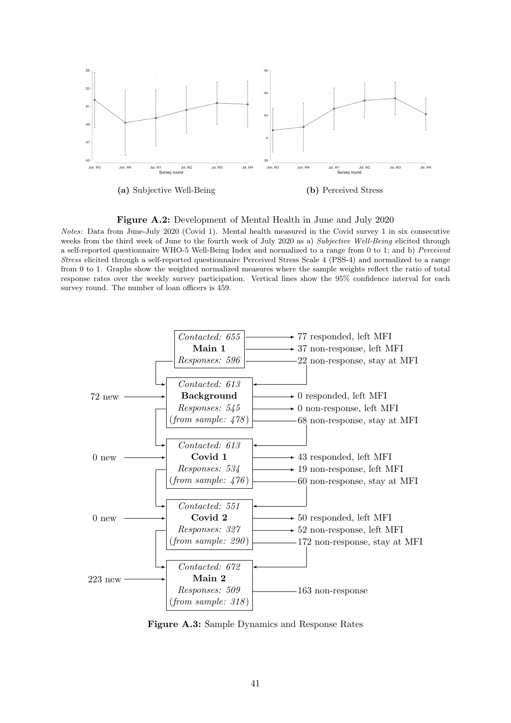<span id="page-41-1"></span>

Figure A.2: Development of Mental Health in June and July 2020

Notes: Data from June-July 2020 (Covid 1). Mental health measured in the Covid survey 1 in six consecutive weeks from the third week of June to the fourth week of July 2020 as a) Subjective Well-Being elicited through a self-reported questionnaire WHO-5 Well-Being Index and normalized to a range from 0 to 1; and b) Perceived Stress elicited through a self-reported questionnaire Perceived Stress Scale 4 (PSS-4) and normalized to a range from 0 to 1. Graphs show the weighted normalized measures where the sample weights reflect the ratio of total response rates over the weekly survey participation. Vertical lines show the 95% confidence interval for each survey round. The number of loan officers is 459.

<span id="page-41-0"></span>

Figure A.3: Sample Dynamics and Response Rates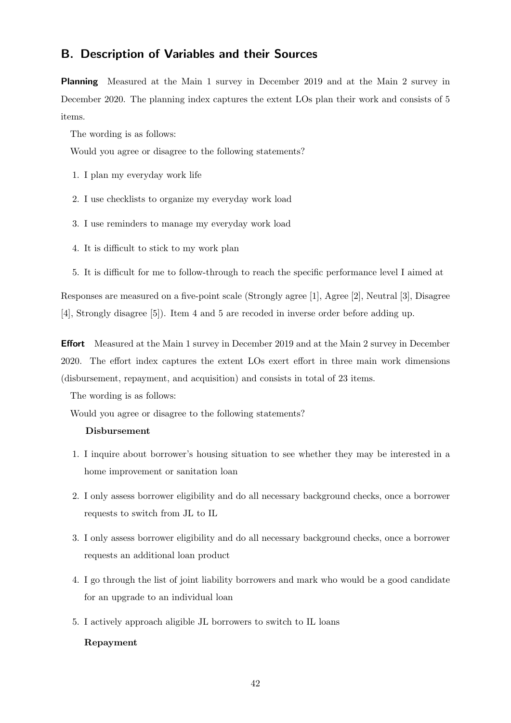## <span id="page-42-0"></span>B. Description of Variables and their Sources

Planning Measured at the Main 1 survey in December 2019 and at the Main 2 survey in December 2020. The planning index captures the extent LOs plan their work and consists of 5 items.

The wording is as follows:

Would you agree or disagree to the following statements?

- 1. I plan my everyday work life
- 2. I use checklists to organize my everyday work load
- 3. I use reminders to manage my everyday work load
- 4. It is difficult to stick to my work plan
- 5. It is difficult for me to follow-through to reach the specific performance level I aimed at

Responses are measured on a five-point scale (Strongly agree [1], Agree [2], Neutral [3], Disagree [4], Strongly disagree [5]). Item 4 and 5 are recoded in inverse order before adding up.

Effort Measured at the Main 1 survey in December 2019 and at the Main 2 survey in December 2020. The effort index captures the extent LOs exert effort in three main work dimensions (disbursement, repayment, and acquisition) and consists in total of 23 items.

The wording is as follows:

Would you agree or disagree to the following statements?

#### Disbursement

- 1. I inquire about borrower's housing situation to see whether they may be interested in a home improvement or sanitation loan
- 2. I only assess borrower eligibility and do all necessary background checks, once a borrower requests to switch from JL to IL
- 3. I only assess borrower eligibility and do all necessary background checks, once a borrower requests an additional loan product
- 4. I go through the list of joint liability borrowers and mark who would be a good candidate for an upgrade to an individual loan
- 5. I actively approach aligible JL borrowers to switch to IL loans

#### Repayment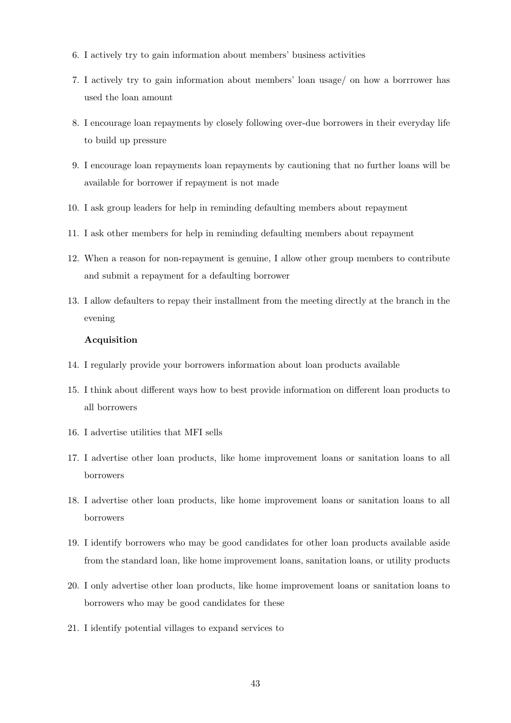- 6. I actively try to gain information about members' business activities
- 7. I actively try to gain information about members' loan usage/ on how a borrrower has used the loan amount
- 8. I encourage loan repayments by closely following over-due borrowers in their everyday life to build up pressure
- 9. I encourage loan repayments loan repayments by cautioning that no further loans will be available for borrower if repayment is not made
- 10. I ask group leaders for help in reminding defaulting members about repayment
- 11. I ask other members for help in reminding defaulting members about repayment
- 12. When a reason for non-repayment is genuine, I allow other group members to contribute and submit a repayment for a defaulting borrower
- 13. I allow defaulters to repay their installment from the meeting directly at the branch in the evening

#### Acquisition

- 14. I regularly provide your borrowers information about loan products available
- 15. I think about different ways how to best provide information on different loan products to all borrowers
- 16. I advertise utilities that MFI sells
- 17. I advertise other loan products, like home improvement loans or sanitation loans to all borrowers
- 18. I advertise other loan products, like home improvement loans or sanitation loans to all borrowers
- 19. I identify borrowers who may be good candidates for other loan products available aside from the standard loan, like home improvement loans, sanitation loans, or utility products
- 20. I only advertise other loan products, like home improvement loans or sanitation loans to borrowers who may be good candidates for these
- 21. I identify potential villages to expand services to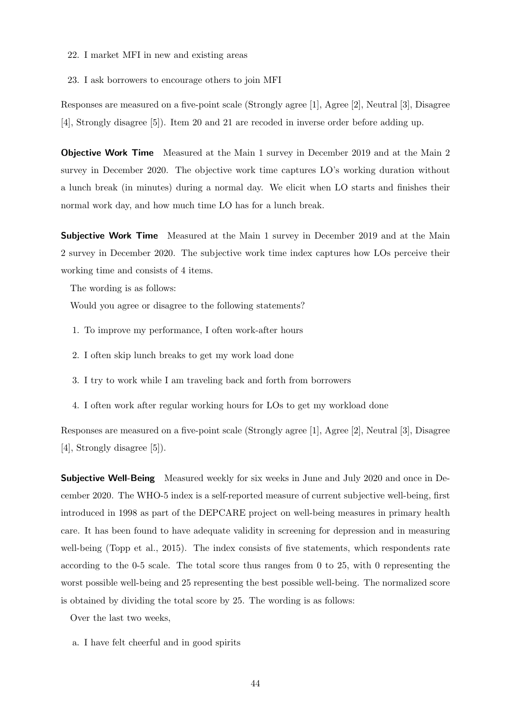- 22. I market MFI in new and existing areas
- 23. I ask borrowers to encourage others to join MFI

Responses are measured on a five-point scale (Strongly agree [1], Agree [2], Neutral [3], Disagree [4], Strongly disagree [5]). Item 20 and 21 are recoded in inverse order before adding up.

Objective Work Time Measured at the Main 1 survey in December 2019 and at the Main 2 survey in December 2020. The objective work time captures LO's working duration without a lunch break (in minutes) during a normal day. We elicit when LO starts and finishes their normal work day, and how much time LO has for a lunch break.

**Subjective Work Time** Measured at the Main 1 survey in December 2019 and at the Main 2 survey in December 2020. The subjective work time index captures how LOs perceive their working time and consists of 4 items.

The wording is as follows:

Would you agree or disagree to the following statements?

- 1. To improve my performance, I often work-after hours
- 2. I often skip lunch breaks to get my work load done
- 3. I try to work while I am traveling back and forth from borrowers
- 4. I often work after regular working hours for LOs to get my workload done

Responses are measured on a five-point scale (Strongly agree [1], Agree [2], Neutral [3], Disagree [4], Strongly disagree [5]).

**Subjective Well-Being** Measured weekly for six weeks in June and July 2020 and once in December 2020. The WHO-5 index is a self-reported measure of current subjective well-being, first introduced in 1998 as part of the DEPCARE project on well-being measures in primary health care. It has been found to have adequate validity in screening for depression and in measuring well-being [\(Topp et al., 2015\)](#page-32-5). The index consists of five statements, which respondents rate according to the 0-5 scale. The total score thus ranges from 0 to 25, with 0 representing the worst possible well-being and 25 representing the best possible well-being. The normalized score is obtained by dividing the total score by 25. The wording is as follows:

Over the last two weeks,

a. I have felt cheerful and in good spirits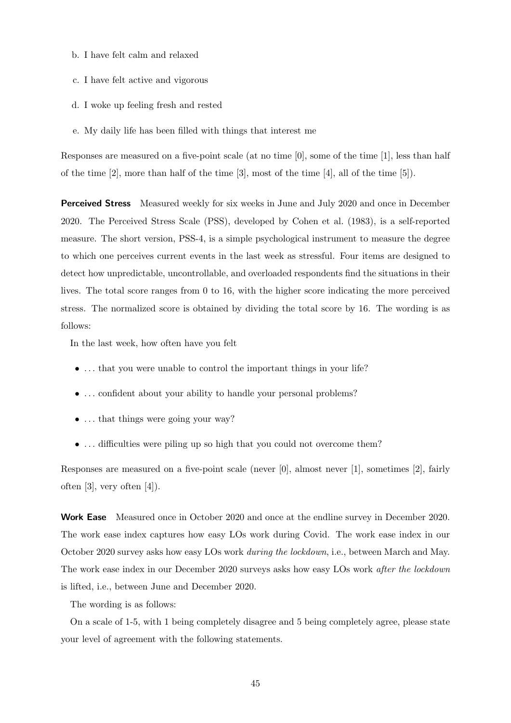- b. I have felt calm and relaxed
- c. I have felt active and vigorous
- d. I woke up feeling fresh and rested
- e. My daily life has been filled with things that interest me

Responses are measured on a five-point scale (at no time [0], some of the time [1], less than half of the time  $[2]$ , more than half of the time  $[3]$ , most of the time  $[4]$ , all of the time  $[5]$ ).

**Perceived Stress** Measured weekly for six weeks in June and July 2020 and once in December 2020. The Perceived Stress Scale (PSS), developed by [Cohen et al.](#page-29-15) [\(1983\)](#page-29-15), is a self-reported measure. The short version, PSS-4, is a simple psychological instrument to measure the degree to which one perceives current events in the last week as stressful. Four items are designed to detect how unpredictable, uncontrollable, and overloaded respondents find the situations in their lives. The total score ranges from 0 to 16, with the higher score indicating the more perceived stress. The normalized score is obtained by dividing the total score by 16. The wording is as follows:

In the last week, how often have you felt

- ... that you were unable to control the important things in your life?
- ... confident about your ability to handle your personal problems?
- ... that things were going your way?
- ... difficulties were piling up so high that you could not overcome them?

Responses are measured on a five-point scale (never [0], almost never [1], sometimes [2], fairly often [3], very often [4]).

Work Ease Measured once in October 2020 and once at the endline survey in December 2020. The work ease index captures how easy LOs work during Covid. The work ease index in our October 2020 survey asks how easy LOs work during the lockdown, i.e., between March and May. The work ease index in our December 2020 surveys asks how easy LOs work after the lockdown is lifted, i.e., between June and December 2020.

The wording is as follows:

On a scale of 1-5, with 1 being completely disagree and 5 being completely agree, please state your level of agreement with the following statements.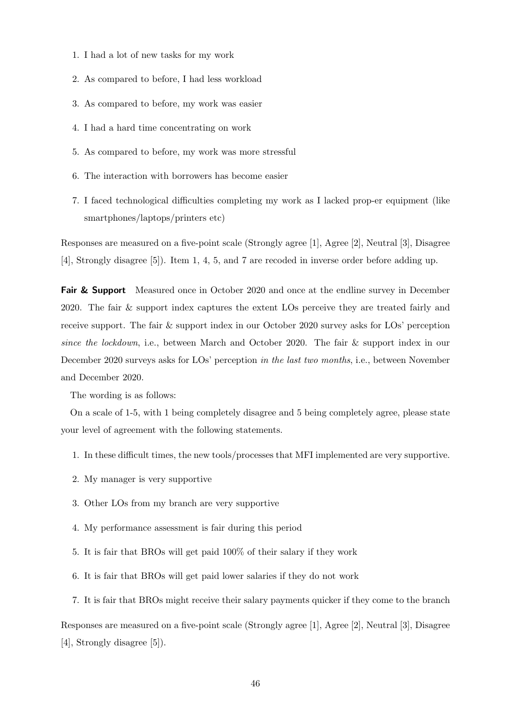- 1. I had a lot of new tasks for my work
- 2. As compared to before, I had less workload
- 3. As compared to before, my work was easier
- 4. I had a hard time concentrating on work
- 5. As compared to before, my work was more stressful
- 6. The interaction with borrowers has become easier
- 7. I faced technological difficulties completing my work as I lacked prop-er equipment (like smartphones/laptops/printers etc)

Responses are measured on a five-point scale (Strongly agree [1], Agree [2], Neutral [3], Disagree [4], Strongly disagree [5]). Item 1, 4, 5, and 7 are recoded in inverse order before adding up.

**Fair & Support** Measured once in October 2020 and once at the endline survey in December 2020. The fair & support index captures the extent LOs perceive they are treated fairly and receive support. The fair & support index in our October 2020 survey asks for LOs' perception since the lockdown, i.e., between March and October 2020. The fair & support index in our December 2020 surveys asks for LOs' perception in the last two months, i.e., between November and December 2020.

The wording is as follows:

On a scale of 1-5, with 1 being completely disagree and 5 being completely agree, please state your level of agreement with the following statements.

- 1. In these difficult times, the new tools/processes that MFI implemented are very supportive.
- 2. My manager is very supportive
- 3. Other LOs from my branch are very supportive
- 4. My performance assessment is fair during this period
- 5. It is fair that BROs will get paid 100% of their salary if they work
- 6. It is fair that BROs will get paid lower salaries if they do not work
- 7. It is fair that BROs might receive their salary payments quicker if they come to the branch

Responses are measured on a five-point scale (Strongly agree [1], Agree [2], Neutral [3], Disagree [4], Strongly disagree [5]).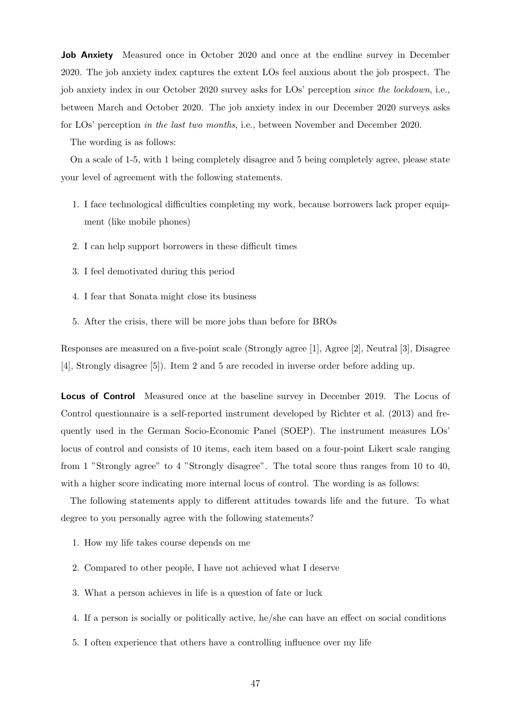**Job Anxiety** Measured once in October 2020 and once at the endline survey in December 2020. The job anxiety index captures the extent LOs feel anxious about the job prospect. The job anxiety index in our October 2020 survey asks for LOs' perception since the lockdown, i.e., between March and October 2020. The job anxiety index in our December 2020 surveys asks for LOs' perception in the last two months, i.e., between November and December 2020.

The wording is as follows:

On a scale of 1-5, with 1 being completely disagree and 5 being completely agree, please state your level of agreement with the following statements.

- 1. I face technological difficulties completing my work, because borrowers lack proper equipment (like mobile phones)
- 2. I can help support borrowers in these difficult times
- 3. I feel demotivated during this period
- 4. I fear that Sonata might close its business
- 5. After the crisis, there will be more jobs than before for BROs

Responses are measured on a five-point scale (Strongly agree [1], Agree [2], Neutral [3], Disagree [4], Strongly disagree [5]). Item 2 and 5 are recoded in inverse order before adding up.

Locus of Control Measured once at the baseline survey in December 2019. The Locus of Control questionnaire is a self-reported instrument developed by [Richter et al.](#page-31-15) [\(2013\)](#page-31-15) and frequently used in the German Socio-Economic Panel (SOEP). The instrument measures LOs' locus of control and consists of 10 items, each item based on a four-point Likert scale ranging from 1 "Strongly agree" to 4 "Strongly disagree". The total score thus ranges from 10 to 40, with a higher score indicating more internal locus of control. The wording is as follows:

The following statements apply to different attitudes towards life and the future. To what degree to you personally agree with the following statements?

- 1. How my life takes course depends on me
- 2. Compared to other people, I have not achieved what I deserve
- 3. What a person achieves in life is a question of fate or luck
- 4. If a person is socially or politically active, he/she can have an effect on social conditions
- 5. I often experience that others have a controlling influence over my life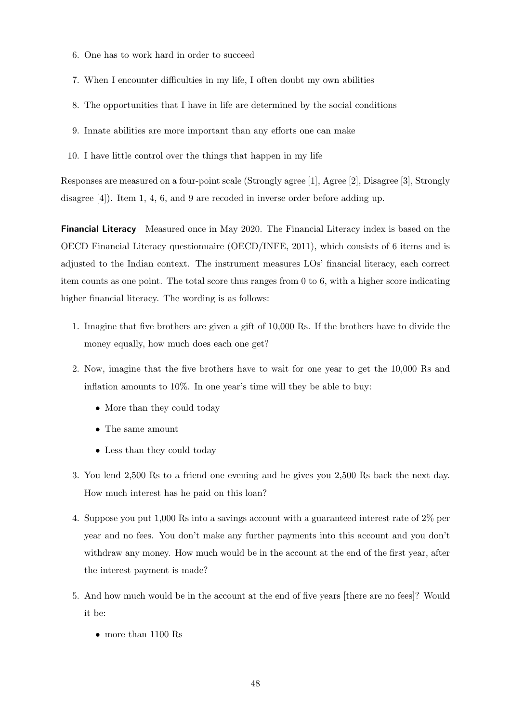- 6. One has to work hard in order to succeed
- 7. When I encounter difficulties in my life, I often doubt my own abilities
- 8. The opportunities that I have in life are determined by the social conditions
- 9. Innate abilities are more important than any efforts one can make
- 10. I have little control over the things that happen in my life

Responses are measured on a four-point scale (Strongly agree [1], Agree [2], Disagree [3], Strongly disagree [4]). Item 1, 4, 6, and 9 are recoded in inverse order before adding up.

Financial Literacy Measured once in May 2020. The Financial Literacy index is based on the OECD Financial Literacy questionnaire [\(OECD/INFE, 2011\)](#page-31-16), which consists of 6 items and is adjusted to the Indian context. The instrument measures LOs' financial literacy, each correct item counts as one point. The total score thus ranges from 0 to 6, with a higher score indicating higher financial literacy. The wording is as follows:

- 1. Imagine that five brothers are given a gift of 10,000 Rs. If the brothers have to divide the money equally, how much does each one get?
- 2. Now, imagine that the five brothers have to wait for one year to get the 10,000 Rs and inflation amounts to 10%. In one year's time will they be able to buy:
	- More than they could today
	- The same amount
	- Less than they could today
- 3. You lend 2,500 Rs to a friend one evening and he gives you 2,500 Rs back the next day. How much interest has he paid on this loan?
- 4. Suppose you put 1,000 Rs into a savings account with a guaranteed interest rate of 2% per year and no fees. You don't make any further payments into this account and you don't withdraw any money. How much would be in the account at the end of the first year, after the interest payment is made?
- 5. And how much would be in the account at the end of five years [there are no fees]? Would it be:
	- more than 1100 Rs